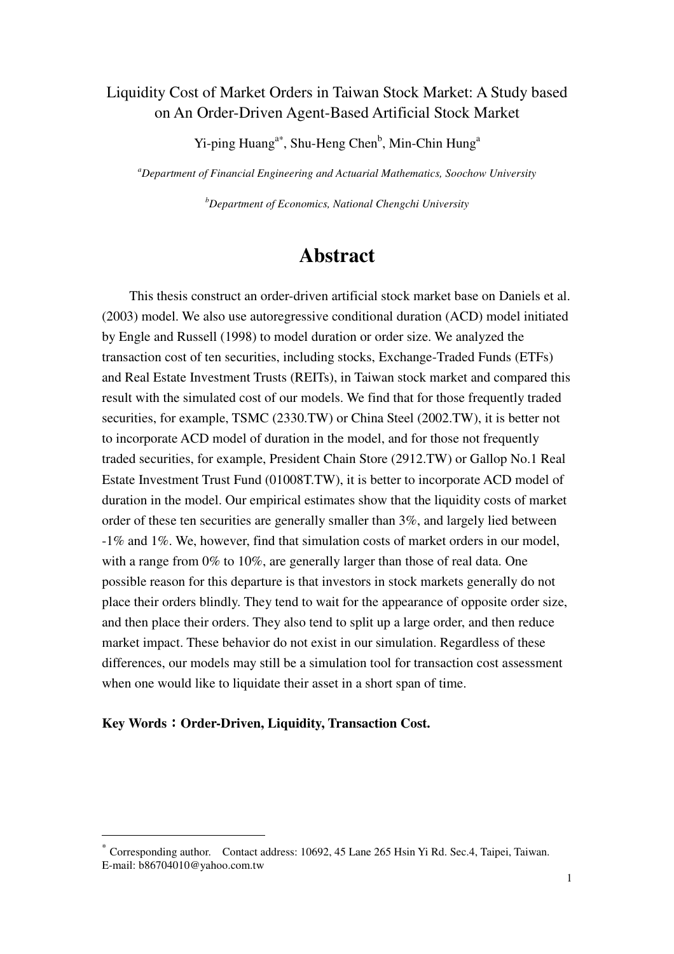## Liquidity Cost of Market Orders in Taiwan Stock Market: A Study based on An Order-Driven Agent-Based Artificial Stock Market

Yi-ping Huang<sup>a∗</sup>, Shu-Heng Chen<sup>b</sup>, Min-Chin Hung<sup>a</sup>

*<sup>a</sup>Department of Financial Engineering and Actuarial Mathematics, Soochow University* 

*<sup>b</sup>Department of Economics, National Chengchi University* 

# **Abstract**

This thesis construct an order-driven artificial stock market base on Daniels et al. (2003) model. We also use autoregressive conditional duration (ACD) model initiated by Engle and Russell (1998) to model duration or order size. We analyzed the transaction cost of ten securities, including stocks, Exchange-Traded Funds (ETFs) and Real Estate Investment Trusts (REITs), in Taiwan stock market and compared this result with the simulated cost of our models. We find that for those frequently traded securities, for example, TSMC (2330.TW) or China Steel (2002.TW), it is better not to incorporate ACD model of duration in the model, and for those not frequently traded securities, for example, President Chain Store (2912.TW) or Gallop No.1 Real Estate Investment Trust Fund (01008T.TW), it is better to incorporate ACD model of duration in the model. Our empirical estimates show that the liquidity costs of market order of these ten securities are generally smaller than 3%, and largely lied between -1% and 1%. We, however, find that simulation costs of market orders in our model, with a range from 0% to 10%, are generally larger than those of real data. One possible reason for this departure is that investors in stock markets generally do not place their orders blindly. They tend to wait for the appearance of opposite order size, and then place their orders. They also tend to split up a large order, and then reduce market impact. These behavior do not exist in our simulation. Regardless of these differences, our models may still be a simulation tool for transaction cost assessment when one would like to liquidate their asset in a short span of time.

#### **Key Words**:**Order-Driven, Liquidity, Transaction Cost.**

 $\overline{a}$ 

<sup>∗</sup> Corresponding author. Contact address: 10692, 45 Lane 265 Hsin Yi Rd. Sec.4, Taipei, Taiwan. E-mail: b86704010@yahoo.com.tw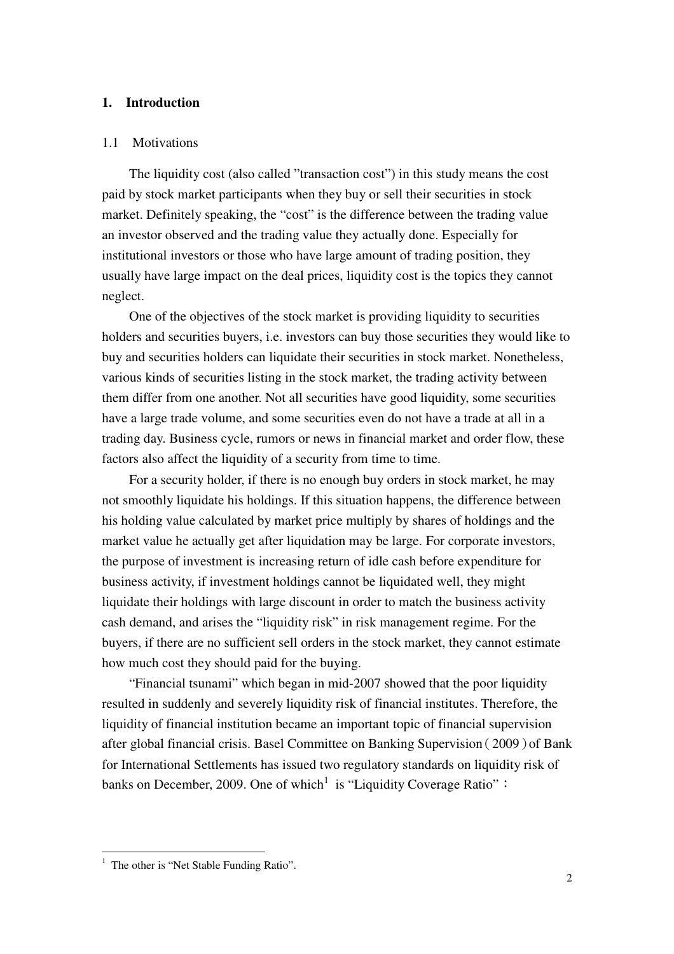#### **1. Introduction**

#### 1.1 Motivations

The liquidity cost (also called "transaction cost") in this study means the cost paid by stock market participants when they buy or sell their securities in stock market. Definitely speaking, the "cost" is the difference between the trading value an investor observed and the trading value they actually done. Especially for institutional investors or those who have large amount of trading position, they usually have large impact on the deal prices, liquidity cost is the topics they cannot neglect.

One of the objectives of the stock market is providing liquidity to securities holders and securities buyers, i.e. investors can buy those securities they would like to buy and securities holders can liquidate their securities in stock market. Nonetheless, various kinds of securities listing in the stock market, the trading activity between them differ from one another. Not all securities have good liquidity, some securities have a large trade volume, and some securities even do not have a trade at all in a trading day. Business cycle, rumors or news in financial market and order flow, these factors also affect the liquidity of a security from time to time.

For a security holder, if there is no enough buy orders in stock market, he may not smoothly liquidate his holdings. If this situation happens, the difference between his holding value calculated by market price multiply by shares of holdings and the market value he actually get after liquidation may be large. For corporate investors, the purpose of investment is increasing return of idle cash before expenditure for business activity, if investment holdings cannot be liquidated well, they might liquidate their holdings with large discount in order to match the business activity cash demand, and arises the "liquidity risk" in risk management regime. For the buyers, if there are no sufficient sell orders in the stock market, they cannot estimate how much cost they should paid for the buying.

"Financial tsunami" which began in mid-2007 showed that the poor liquidity resulted in suddenly and severely liquidity risk of financial institutes. Therefore, the liquidity of financial institution became an important topic of financial supervision after global financial crisis. Basel Committee on Banking Supervision(2009)of Bank for International Settlements has issued two regulatory standards on liquidity risk of banks on December, 2009. One of which<sup>1</sup> is "Liquidity Coverage Ratio":

 $\overline{a}$ 

<sup>1</sup> The other is "Net Stable Funding Ratio".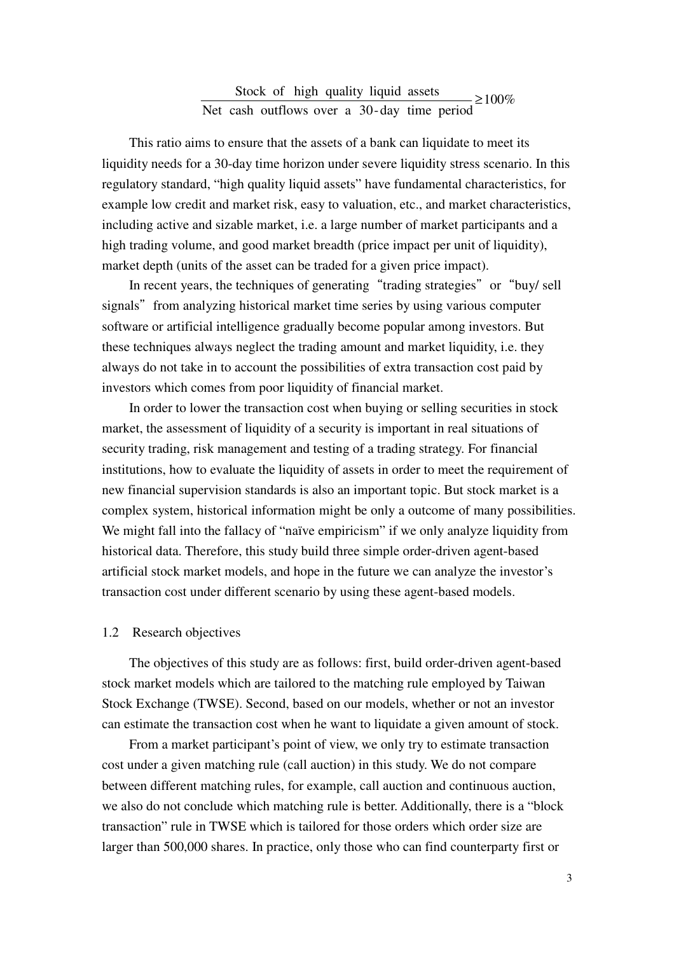#### $-2100%$ Net cash outflows over a 30-day time period Stock of high quality liquid assets

This ratio aims to ensure that the assets of a bank can liquidate to meet its liquidity needs for a 30-day time horizon under severe liquidity stress scenario. In this regulatory standard, "high quality liquid assets" have fundamental characteristics, for example low credit and market risk, easy to valuation, etc., and market characteristics, including active and sizable market, i.e. a large number of market participants and a high trading volume, and good market breadth (price impact per unit of liquidity), market depth (units of the asset can be traded for a given price impact).

In recent years, the techniques of generating "trading strategies" or "buy/ sell signals" from analyzing historical market time series by using various computer software or artificial intelligence gradually become popular among investors. But these techniques always neglect the trading amount and market liquidity, i.e. they always do not take in to account the possibilities of extra transaction cost paid by investors which comes from poor liquidity of financial market.

In order to lower the transaction cost when buying or selling securities in stock market, the assessment of liquidity of a security is important in real situations of security trading, risk management and testing of a trading strategy. For financial institutions, how to evaluate the liquidity of assets in order to meet the requirement of new financial supervision standards is also an important topic. But stock market is a complex system, historical information might be only a outcome of many possibilities. We might fall into the fallacy of "naïve empiricism" if we only analyze liquidity from historical data. Therefore, this study build three simple order-driven agent-based artificial stock market models, and hope in the future we can analyze the investor's transaction cost under different scenario by using these agent-based models.

#### 1.2 Research objectives

The objectives of this study are as follows: first, build order-driven agent-based stock market models which are tailored to the matching rule employed by Taiwan Stock Exchange (TWSE). Second, based on our models, whether or not an investor can estimate the transaction cost when he want to liquidate a given amount of stock.

From a market participant's point of view, we only try to estimate transaction cost under a given matching rule (call auction) in this study. We do not compare between different matching rules, for example, call auction and continuous auction, we also do not conclude which matching rule is better. Additionally, there is a "block transaction" rule in TWSE which is tailored for those orders which order size are larger than 500,000 shares. In practice, only those who can find counterparty first or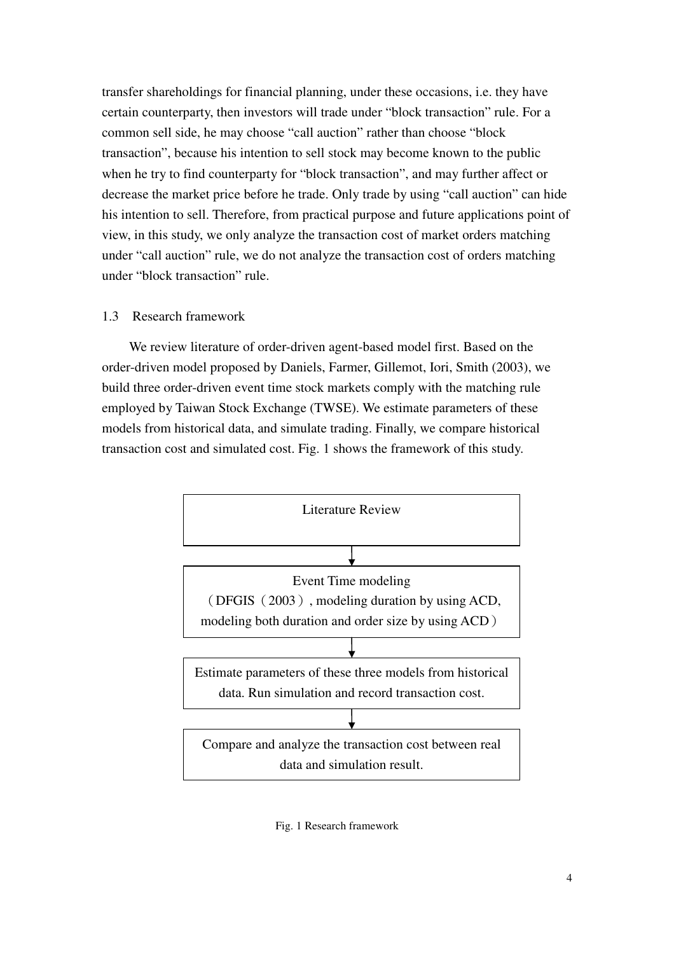transfer shareholdings for financial planning, under these occasions, i.e. they have certain counterparty, then investors will trade under "block transaction" rule. For a common sell side, he may choose "call auction" rather than choose "block transaction", because his intention to sell stock may become known to the public when he try to find counterparty for "block transaction", and may further affect or decrease the market price before he trade. Only trade by using "call auction" can hide his intention to sell. Therefore, from practical purpose and future applications point of view, in this study, we only analyze the transaction cost of market orders matching under "call auction" rule, we do not analyze the transaction cost of orders matching under "block transaction" rule.

#### 1.3 Research framework

We review literature of order-driven agent-based model first. Based on the order-driven model proposed by Daniels, Farmer, Gillemot, Iori, Smith (2003), we build three order-driven event time stock markets comply with the matching rule employed by Taiwan Stock Exchange (TWSE). We estimate parameters of these models from historical data, and simulate trading. Finally, we compare historical transaction cost and simulated cost. Fig. 1 shows the framework of this study.



Fig. 1 Research framework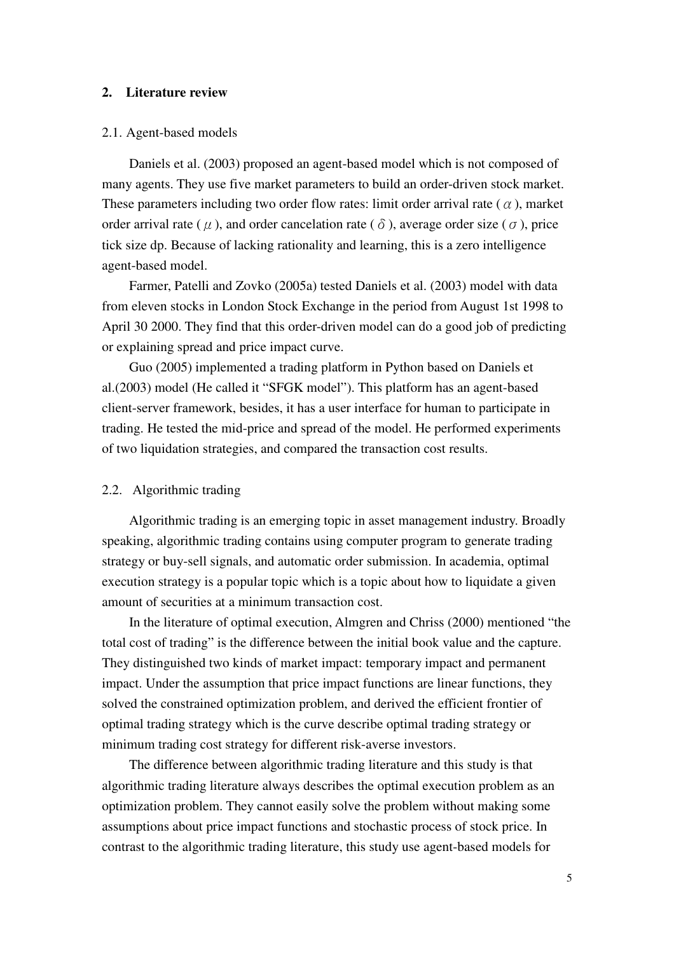#### **2. Literature review**

#### 2.1. Agent-based models

Daniels et al. (2003) proposed an agent-based model which is not composed of many agents. They use five market parameters to build an order-driven stock market. These parameters including two order flow rates: limit order arrival rate ( $\alpha$ ), market order arrival rate ( $\mu$ ), and order cancelation rate ( $\delta$ ), average order size ( $\sigma$ ), price tick size dp. Because of lacking rationality and learning, this is a zero intelligence agent-based model.

Farmer, Patelli and Zovko (2005a) tested Daniels et al. (2003) model with data from eleven stocks in London Stock Exchange in the period from August 1st 1998 to April 30 2000. They find that this order-driven model can do a good job of predicting or explaining spread and price impact curve.

Guo (2005) implemented a trading platform in Python based on Daniels et al.(2003) model (He called it "SFGK model"). This platform has an agent-based client-server framework, besides, it has a user interface for human to participate in trading. He tested the mid-price and spread of the model. He performed experiments of two liquidation strategies, and compared the transaction cost results.

#### 2.2. Algorithmic trading

Algorithmic trading is an emerging topic in asset management industry. Broadly speaking, algorithmic trading contains using computer program to generate trading strategy or buy-sell signals, and automatic order submission. In academia, optimal execution strategy is a popular topic which is a topic about how to liquidate a given amount of securities at a minimum transaction cost.

In the literature of optimal execution, Almgren and Chriss (2000) mentioned "the total cost of trading" is the difference between the initial book value and the capture. They distinguished two kinds of market impact: temporary impact and permanent impact. Under the assumption that price impact functions are linear functions, they solved the constrained optimization problem, and derived the efficient frontier of optimal trading strategy which is the curve describe optimal trading strategy or minimum trading cost strategy for different risk-averse investors.

The difference between algorithmic trading literature and this study is that algorithmic trading literature always describes the optimal execution problem as an optimization problem. They cannot easily solve the problem without making some assumptions about price impact functions and stochastic process of stock price. In contrast to the algorithmic trading literature, this study use agent-based models for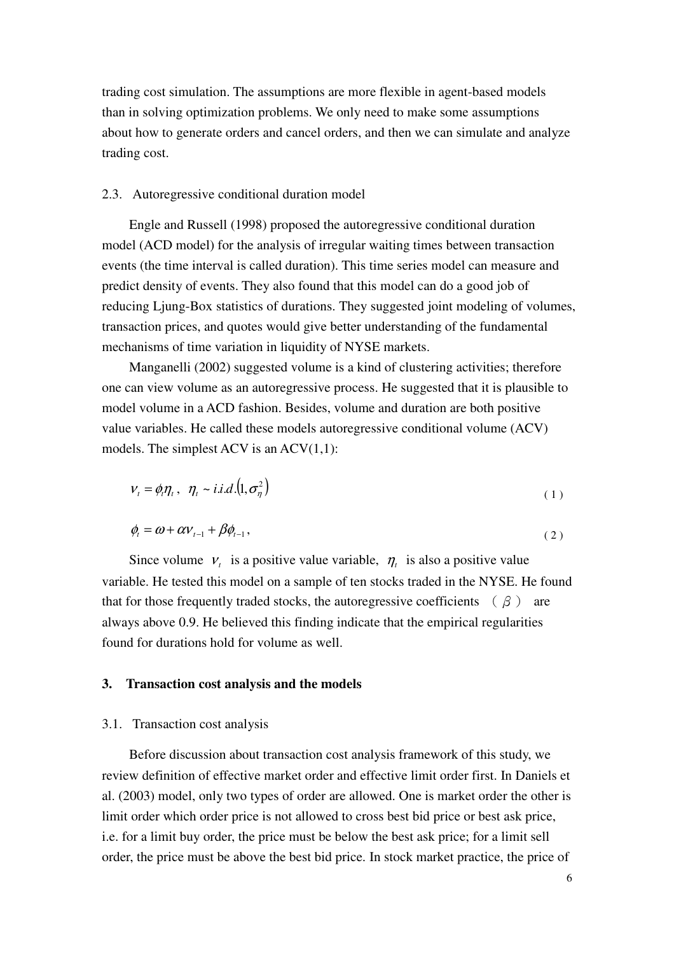trading cost simulation. The assumptions are more flexible in agent-based models than in solving optimization problems. We only need to make some assumptions about how to generate orders and cancel orders, and then we can simulate and analyze trading cost.

#### 2.3. Autoregressive conditional duration model

Engle and Russell (1998) proposed the autoregressive conditional duration model (ACD model) for the analysis of irregular waiting times between transaction events (the time interval is called duration). This time series model can measure and predict density of events. They also found that this model can do a good job of reducing Ljung-Box statistics of durations. They suggested joint modeling of volumes, transaction prices, and quotes would give better understanding of the fundamental mechanisms of time variation in liquidity of NYSE markets.

Manganelli (2002) suggested volume is a kind of clustering activities; therefore one can view volume as an autoregressive process. He suggested that it is plausible to model volume in a ACD fashion. Besides, volume and duration are both positive value variables. He called these models autoregressive conditional volume (ACV) models. The simplest ACV is an  $ACV(1,1)$ :

$$
V_t = \phi_t \eta_t, \quad \eta_t \sim i.i.d. (1, \sigma_\eta^2)
$$
 (1)

$$
\phi_t = \omega + \alpha v_{t-1} + \beta \phi_{t-1},\tag{2}
$$

Since volume  $V_t$  is a positive value variable,  $\eta_t$  is also a positive value variable. He tested this model on a sample of ten stocks traded in the NYSE. He found that for those frequently traded stocks, the autoregressive coefficients  $(\beta)$  are always above 0.9. He believed this finding indicate that the empirical regularities found for durations hold for volume as well.

#### **3. Transaction cost analysis and the models**

#### 3.1. Transaction cost analysis

Before discussion about transaction cost analysis framework of this study, we review definition of effective market order and effective limit order first. In Daniels et al. (2003) model, only two types of order are allowed. One is market order the other is limit order which order price is not allowed to cross best bid price or best ask price, i.e. for a limit buy order, the price must be below the best ask price; for a limit sell order, the price must be above the best bid price. In stock market practice, the price of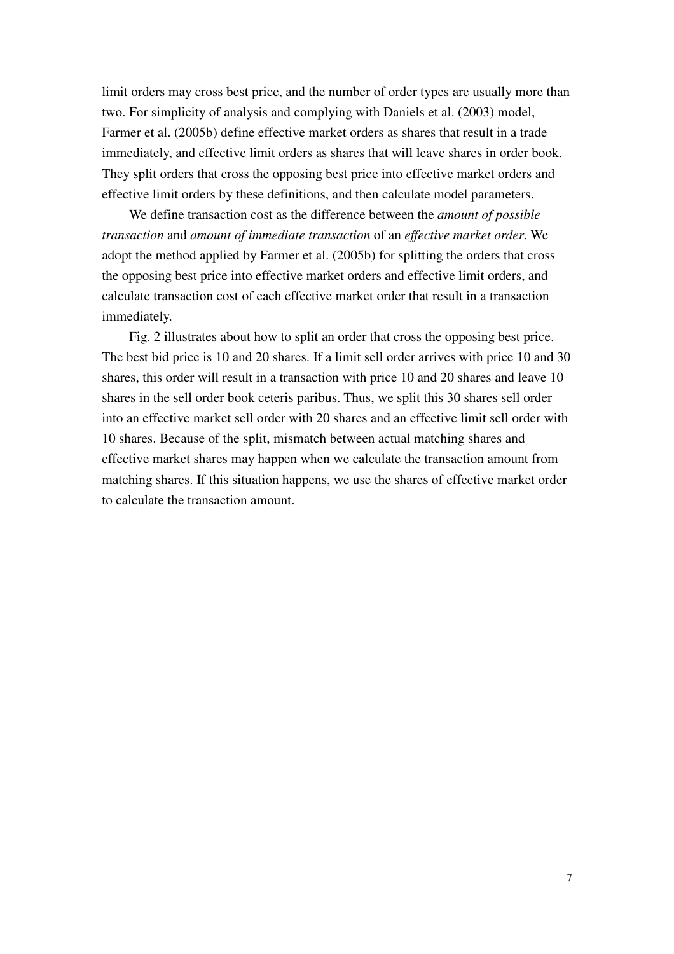limit orders may cross best price, and the number of order types are usually more than two. For simplicity of analysis and complying with Daniels et al. (2003) model, Farmer et al. (2005b) define effective market orders as shares that result in a trade immediately, and effective limit orders as shares that will leave shares in order book. They split orders that cross the opposing best price into effective market orders and effective limit orders by these definitions, and then calculate model parameters.

We define transaction cost as the difference between the *amount of possible transaction* and *amount of immediate transaction* of an *effective market order*. We adopt the method applied by Farmer et al. (2005b) for splitting the orders that cross the opposing best price into effective market orders and effective limit orders, and calculate transaction cost of each effective market order that result in a transaction immediately.

Fig. 2 illustrates about how to split an order that cross the opposing best price. The best bid price is 10 and 20 shares. If a limit sell order arrives with price 10 and 30 shares, this order will result in a transaction with price 10 and 20 shares and leave 10 shares in the sell order book ceteris paribus. Thus, we split this 30 shares sell order into an effective market sell order with 20 shares and an effective limit sell order with 10 shares. Because of the split, mismatch between actual matching shares and effective market shares may happen when we calculate the transaction amount from matching shares. If this situation happens, we use the shares of effective market order to calculate the transaction amount.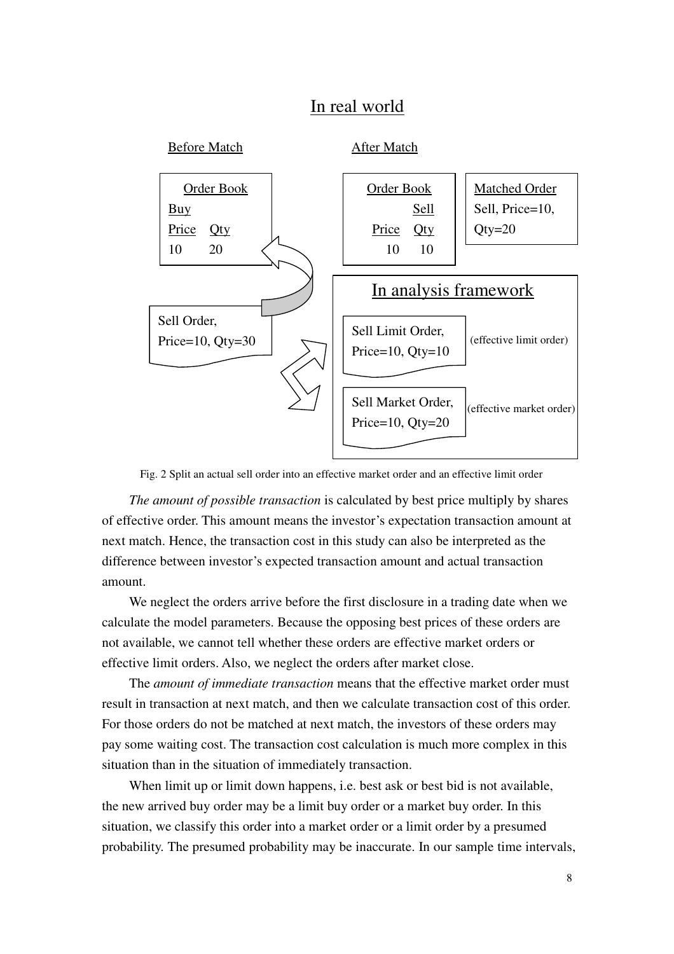## In real world



Fig. 2 Split an actual sell order into an effective market order and an effective limit order

*The amount of possible transaction* is calculated by best price multiply by shares of effective order. This amount means the investor's expectation transaction amount at next match. Hence, the transaction cost in this study can also be interpreted as the difference between investor's expected transaction amount and actual transaction amount.

We neglect the orders arrive before the first disclosure in a trading date when we calculate the model parameters. Because the opposing best prices of these orders are not available, we cannot tell whether these orders are effective market orders or effective limit orders. Also, we neglect the orders after market close.

The *amount of immediate transaction* means that the effective market order must result in transaction at next match, and then we calculate transaction cost of this order. For those orders do not be matched at next match, the investors of these orders may pay some waiting cost. The transaction cost calculation is much more complex in this situation than in the situation of immediately transaction.

When limit up or limit down happens, i.e. best ask or best bid is not available, the new arrived buy order may be a limit buy order or a market buy order. In this situation, we classify this order into a market order or a limit order by a presumed probability. The presumed probability may be inaccurate. In our sample time intervals,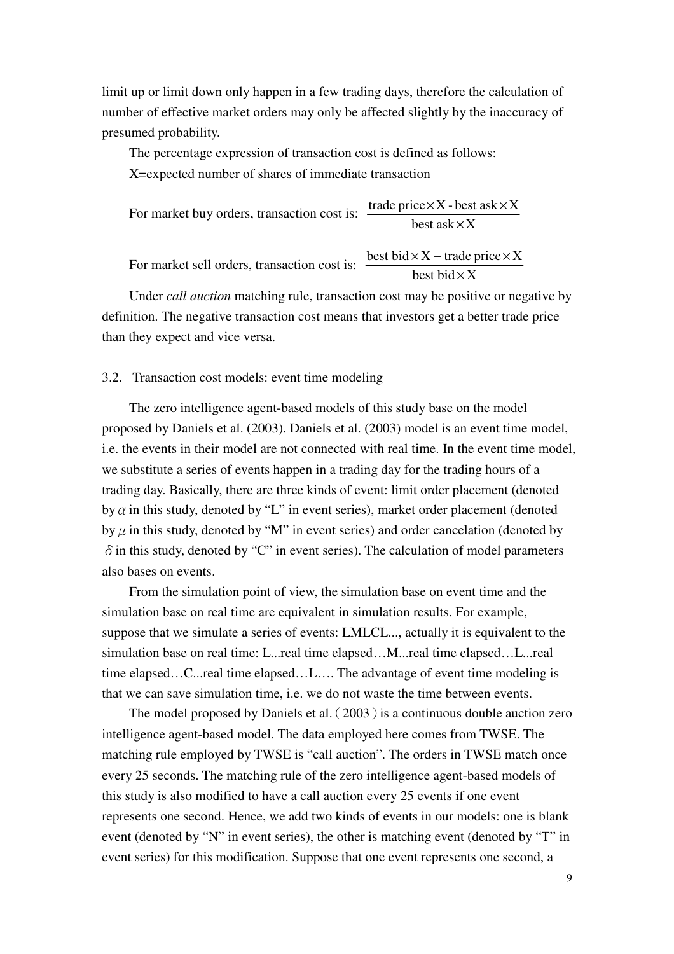limit up or limit down only happen in a few trading days, therefore the calculation of number of effective market orders may only be affected slightly by the inaccuracy of presumed probability.

The percentage expression of transaction cost is defined as follows:

X=expected number of shares of immediate transaction

For market buy orders, transaction cost is: best as $k\times X$ trade price $\times X$  - best ask $\times X$ ×  $\times$ X - best ask $\times$ 

For market sell orders, transaction cost is: best bid  $\times$  X best bid  $\times$  X – trade price  $\times$  X

Under *call auction* matching rule, transaction cost may be positive or negative by definition. The negative transaction cost means that investors get a better trade price than they expect and vice versa.

#### 3.2. Transaction cost models: event time modeling

The zero intelligence agent-based models of this study base on the model proposed by Daniels et al. (2003). Daniels et al. (2003) model is an event time model, i.e. the events in their model are not connected with real time. In the event time model, we substitute a series of events happen in a trading day for the trading hours of a trading day. Basically, there are three kinds of event: limit order placement (denoted by  $\alpha$  in this study, denoted by "L" in event series), market order placement (denoted by  $\mu$  in this study, denoted by "M" in event series) and order cancelation (denoted by  $\delta$  in this study, denoted by "C" in event series). The calculation of model parameters also bases on events.

From the simulation point of view, the simulation base on event time and the simulation base on real time are equivalent in simulation results. For example, suppose that we simulate a series of events: LMLCL..., actually it is equivalent to the simulation base on real time: L...real time elapsed...M...real time elapsed...L...real time elapsed…C...real time elapsed…L…. The advantage of event time modeling is that we can save simulation time, i.e. we do not waste the time between events.

The model proposed by Daniels et al. (2003) is a continuous double auction zero intelligence agent-based model. The data employed here comes from TWSE. The matching rule employed by TWSE is "call auction". The orders in TWSE match once every 25 seconds. The matching rule of the zero intelligence agent-based models of this study is also modified to have a call auction every 25 events if one event represents one second. Hence, we add two kinds of events in our models: one is blank event (denoted by "N" in event series), the other is matching event (denoted by "T" in event series) for this modification. Suppose that one event represents one second, a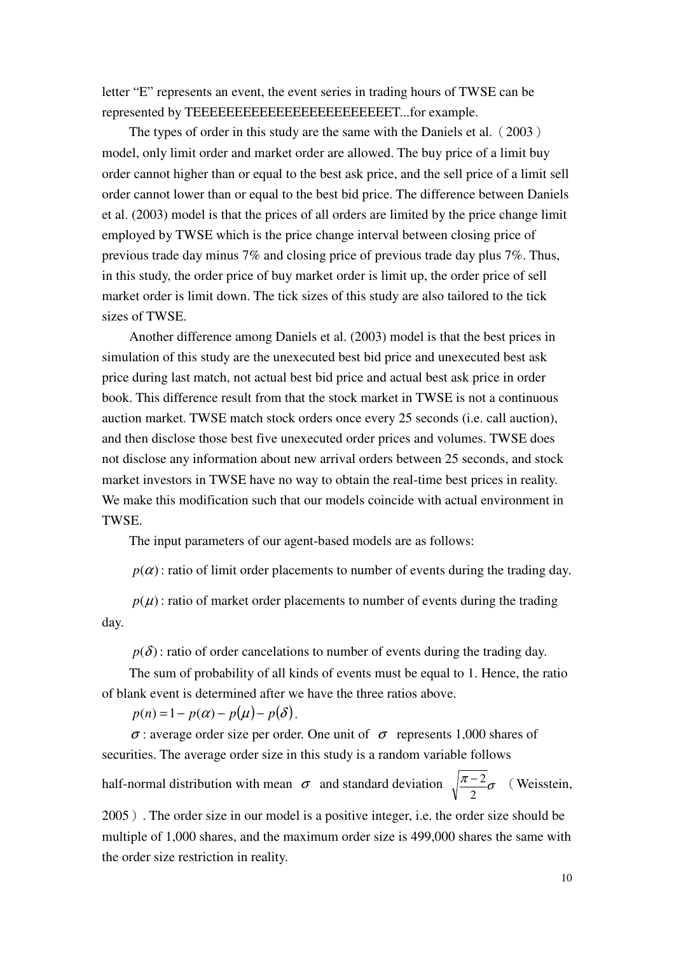letter "E" represents an event, the event series in trading hours of TWSE can be represented by TEEEEEEEEEEEEEEEEEEEEEEEET...for example.

The types of order in this study are the same with the Daniels et al. (2003) model, only limit order and market order are allowed. The buy price of a limit buy order cannot higher than or equal to the best ask price, and the sell price of a limit sell order cannot lower than or equal to the best bid price. The difference between Daniels et al. (2003) model is that the prices of all orders are limited by the price change limit employed by TWSE which is the price change interval between closing price of previous trade day minus 7% and closing price of previous trade day plus 7%. Thus, in this study, the order price of buy market order is limit up, the order price of sell market order is limit down. The tick sizes of this study are also tailored to the tick sizes of TWSE.

Another difference among Daniels et al. (2003) model is that the best prices in simulation of this study are the unexecuted best bid price and unexecuted best ask price during last match, not actual best bid price and actual best ask price in order book. This difference result from that the stock market in TWSE is not a continuous auction market. TWSE match stock orders once every 25 seconds (i.e. call auction), and then disclose those best five unexecuted order prices and volumes. TWSE does not disclose any information about new arrival orders between 25 seconds, and stock market investors in TWSE have no way to obtain the real-time best prices in reality. We make this modification such that our models coincide with actual environment in TWSE.

The input parameters of our agent-based models are as follows:

 $p(\alpha)$ : ratio of limit order placements to number of events during the trading day.

 $p(\mu)$ : ratio of market order placements to number of events during the trading day.

 $p(\delta)$ : ratio of order cancelations to number of events during the trading day.

The sum of probability of all kinds of events must be equal to 1. Hence, the ratio of blank event is determined after we have the three ratios above.

 $p(n) = 1 - p(\alpha) - p(\mu) - p(\delta)$ .

 $\sigma$ : average order size per order. One unit of  $\sigma$  represents 1,000 shares of securities. The average order size in this study is a random variable follows

half-normal distribution with mean  $\sigma$  and standard deviation  $\sqrt{\frac{\pi-2}{\sigma}}\sigma$ 2  $\frac{-2}{-\sigma}$  (Weisstein,

2005). The order size in our model is a positive integer, i.e. the order size should be multiple of 1,000 shares, and the maximum order size is 499,000 shares the same with the order size restriction in reality.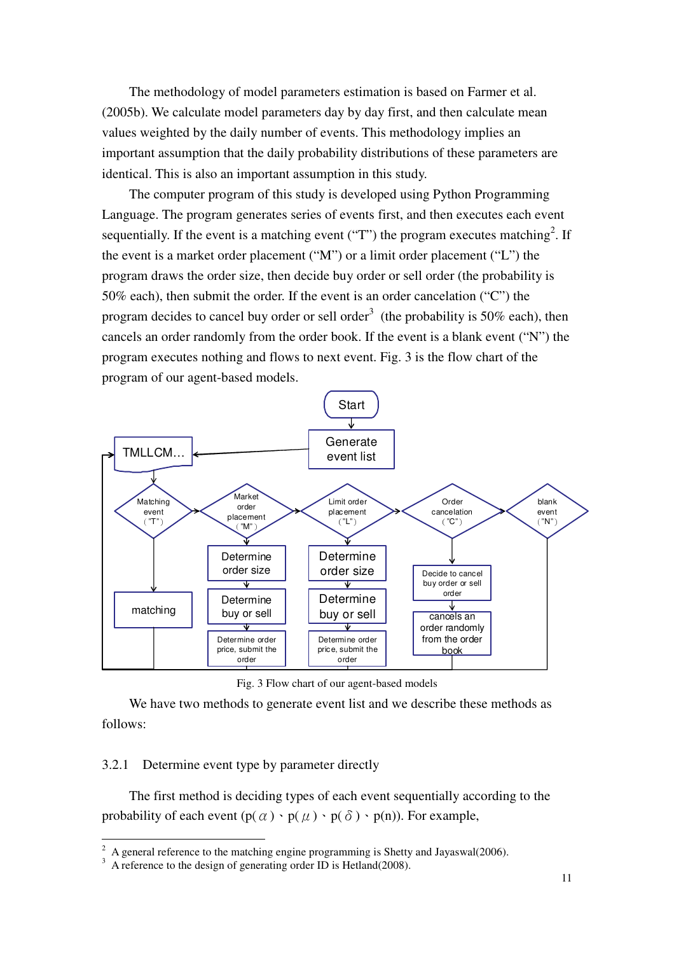The methodology of model parameters estimation is based on Farmer et al. (2005b). We calculate model parameters day by day first, and then calculate mean values weighted by the daily number of events. This methodology implies an important assumption that the daily probability distributions of these parameters are identical. This is also an important assumption in this study.

The computer program of this study is developed using Python Programming Language. The program generates series of events first, and then executes each event sequentially. If the event is a matching event ("T") the program executes matching<sup>2</sup>. If the event is a market order placement ("M") or a limit order placement ("L") the program draws the order size, then decide buy order or sell order (the probability is 50% each), then submit the order. If the event is an order cancelation ("C") the program decides to cancel buy order or sell order<sup>3</sup> (the probability is  $50\%$  each), then cancels an order randomly from the order book. If the event is a blank event ("N") the program executes nothing and flows to next event. Fig. 3 is the flow chart of the program of our agent-based models.



Fig. 3 Flow chart of our agent-based models

We have two methods to generate event list and we describe these methods as follows:

3.2.1 Determine event type by parameter directly

The first method is deciding types of each event sequentially according to the probability of each event  $(p(\alpha) \cdot p(\mu) \cdot p(\delta) \cdot p(n))$ . For example,

<sup>&</sup>lt;sup>2</sup> A general reference to the matching engine programming is Shetty and Jayaswal(2006).

 $3\,$  A reference to the design of generating order ID is Hetland(2008).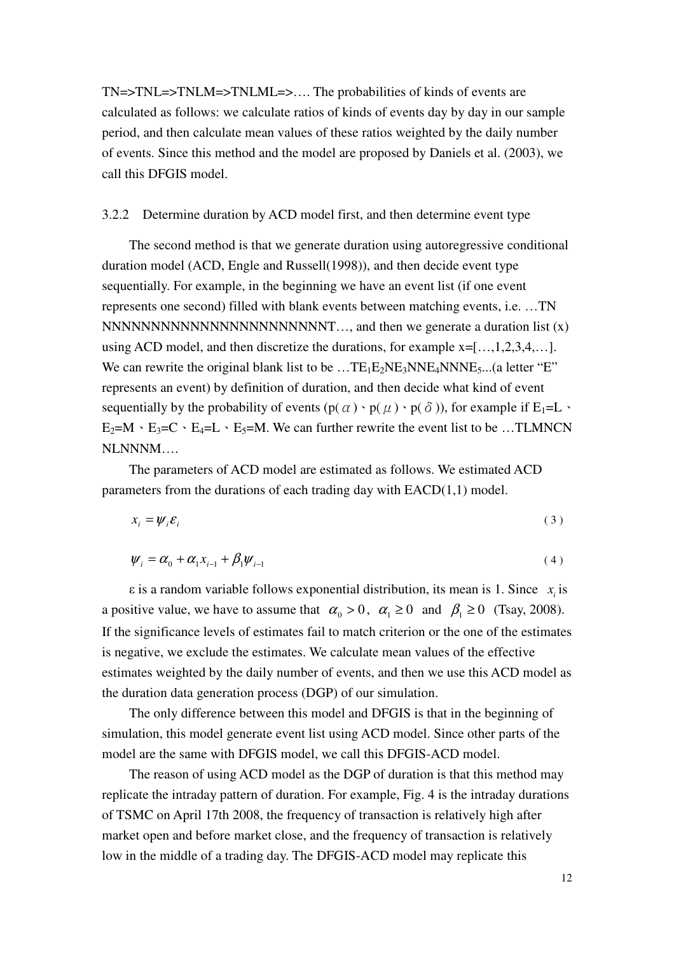TN=>TNL=>TNLM=>TNLML=>…. The probabilities of kinds of events are calculated as follows: we calculate ratios of kinds of events day by day in our sample period, and then calculate mean values of these ratios weighted by the daily number of events. Since this method and the model are proposed by Daniels et al. (2003), we call this DFGIS model.

#### 3.2.2 Determine duration by ACD model first, and then determine event type

The second method is that we generate duration using autoregressive conditional duration model (ACD, Engle and Russell(1998)), and then decide event type sequentially. For example, in the beginning we have an event list (if one event represents one second) filled with blank events between matching events, i.e. …TN NNNNNNNNNNNNNNNNNNNNNNNNNNNNNNNNN  $\dots$ , and then we generate a duration list  $(x)$ using ACD model, and then discretize the durations, for example  $x=[...,1,2,3,4,...]$ . We can rewrite the original blank list to be  $...TE_1E_2NE_3NNE_4NNNE_5...(a)$  letter "E" represents an event) by definition of duration, and then decide what kind of event sequentially by the probability of events  $(p(\alpha) \cdot p(\mu) \cdot p(\delta))$ , for example if E<sub>1</sub>=L  $\cdot$  $E_2=M \cdot E_3=C \cdot E_4=L \cdot E_5=M$ . We can further rewrite the event list to be ...TLMNCN NLNNNM….

The parameters of ACD model are estimated as follows. We estimated ACD parameters from the durations of each trading day with EACD(1,1) model.

$$
x_i = \psi_i \mathcal{E}_i \tag{3}
$$

$$
\psi_i = \alpha_0 + \alpha_1 x_{i-1} + \beta_1 \psi_{i-1} \tag{4}
$$

 $\varepsilon$  is a random variable follows exponential distribution, its mean is 1. Since  $x_i$  is a positive value, we have to assume that  $\alpha_0 > 0$ ,  $\alpha_1 \ge 0$  and  $\beta_1 \ge 0$  (Tsay, 2008). If the significance levels of estimates fail to match criterion or the one of the estimates is negative, we exclude the estimates. We calculate mean values of the effective estimates weighted by the daily number of events, and then we use this ACD model as the duration data generation process (DGP) of our simulation.

The only difference between this model and DFGIS is that in the beginning of simulation, this model generate event list using ACD model. Since other parts of the model are the same with DFGIS model, we call this DFGIS-ACD model.

The reason of using ACD model as the DGP of duration is that this method may replicate the intraday pattern of duration. For example, Fig. 4 is the intraday durations of TSMC on April 17th 2008, the frequency of transaction is relatively high after market open and before market close, and the frequency of transaction is relatively low in the middle of a trading day. The DFGIS-ACD model may replicate this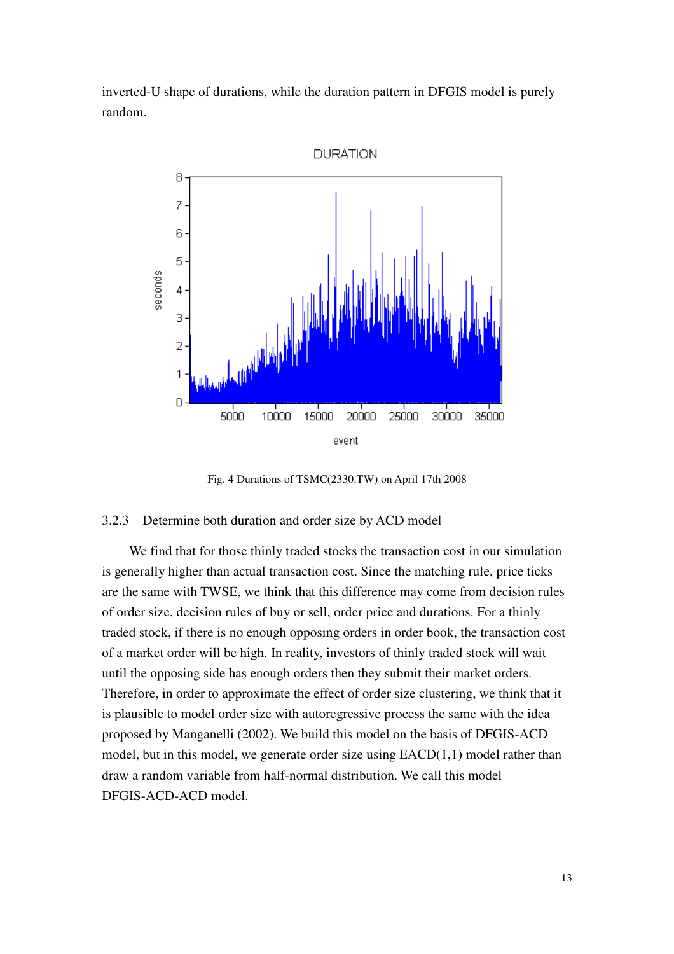inverted-U shape of durations, while the duration pattern in DFGIS model is purely random.



Fig. 4 Durations of TSMC(2330.TW) on April 17th 2008

#### 3.2.3 Determine both duration and order size by ACD model

We find that for those thinly traded stocks the transaction cost in our simulation is generally higher than actual transaction cost. Since the matching rule, price ticks are the same with TWSE, we think that this difference may come from decision rules of order size, decision rules of buy or sell, order price and durations. For a thinly traded stock, if there is no enough opposing orders in order book, the transaction cost of a market order will be high. In reality, investors of thinly traded stock will wait until the opposing side has enough orders then they submit their market orders. Therefore, in order to approximate the effect of order size clustering, we think that it is plausible to model order size with autoregressive process the same with the idea proposed by Manganelli (2002). We build this model on the basis of DFGIS-ACD model, but in this model, we generate order size using  $EACD(1,1)$  model rather than draw a random variable from half-normal distribution. We call this model DFGIS-ACD-ACD model.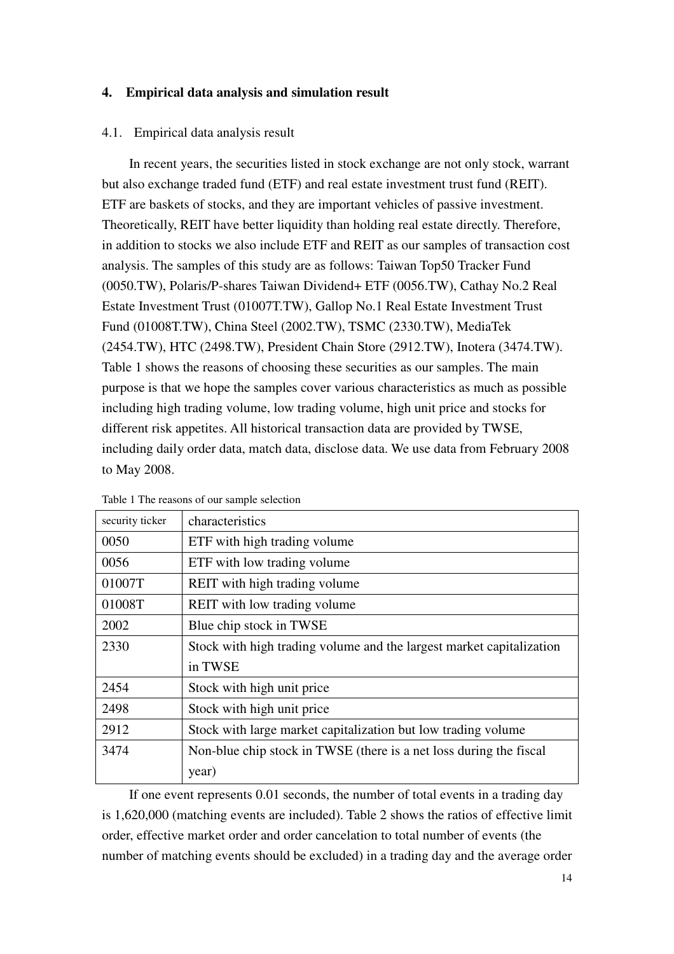#### **4. Empirical data analysis and simulation result**

#### 4.1. Empirical data analysis result

In recent years, the securities listed in stock exchange are not only stock, warrant but also exchange traded fund (ETF) and real estate investment trust fund (REIT). ETF are baskets of stocks, and they are important vehicles of passive investment. Theoretically, REIT have better liquidity than holding real estate directly. Therefore, in addition to stocks we also include ETF and REIT as our samples of transaction cost analysis. The samples of this study are as follows: Taiwan Top50 Tracker Fund (0050.TW), Polaris/P-shares Taiwan Dividend+ ETF (0056.TW), Cathay No.2 Real Estate Investment Trust (01007T.TW), Gallop No.1 Real Estate Investment Trust Fund (01008T.TW), China Steel (2002.TW), TSMC (2330.TW), MediaTek (2454.TW), HTC (2498.TW), President Chain Store (2912.TW), Inotera (3474.TW). Table 1 shows the reasons of choosing these securities as our samples. The main purpose is that we hope the samples cover various characteristics as much as possible including high trading volume, low trading volume, high unit price and stocks for different risk appetites. All historical transaction data are provided by TWSE, including daily order data, match data, disclose data. We use data from February 2008 to May 2008.

| security ticker | characteristics                                                      |
|-----------------|----------------------------------------------------------------------|
| 0050            | ETF with high trading volume                                         |
| 0056            | ETF with low trading volume                                          |
| 01007T          | REIT with high trading volume                                        |
| 01008T          | <b>REIT</b> with low trading volume                                  |
| 2002            | Blue chip stock in TWSE                                              |
| 2330            | Stock with high trading volume and the largest market capitalization |
|                 | in TWSE                                                              |
| 2454            | Stock with high unit price                                           |
| 2498            | Stock with high unit price                                           |
| 2912            | Stock with large market capitalization but low trading volume        |
| 3474            | Non-blue chip stock in TWSE (there is a net loss during the fiscal   |
|                 | year)                                                                |

Table 1 The reasons of our sample selection

If one event represents 0.01 seconds, the number of total events in a trading day is 1,620,000 (matching events are included). Table 2 shows the ratios of effective limit order, effective market order and order cancelation to total number of events (the number of matching events should be excluded) in a trading day and the average order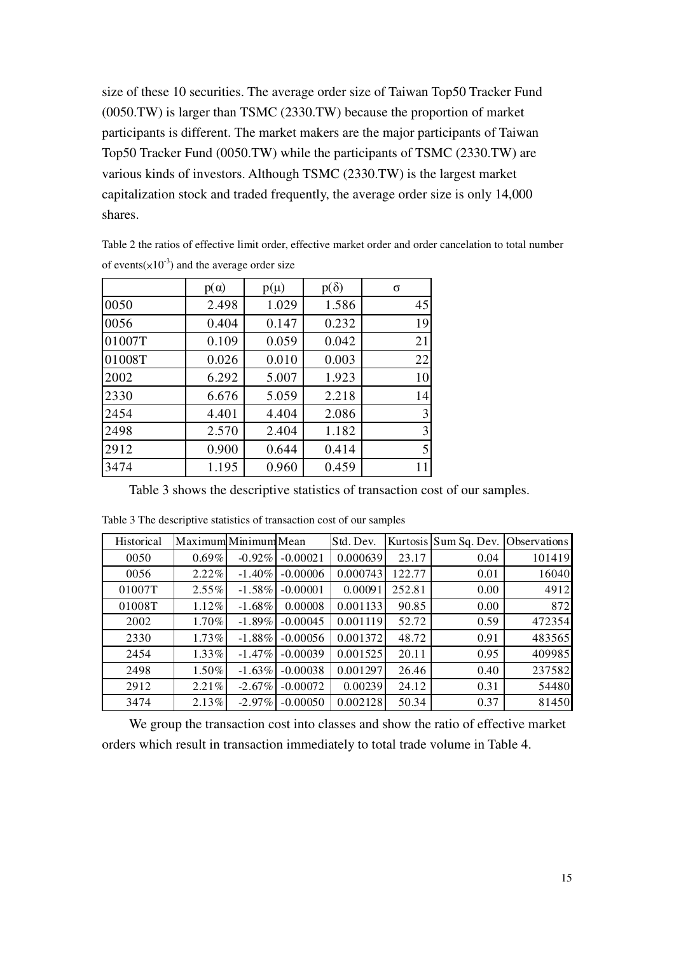size of these 10 securities. The average order size of Taiwan Top50 Tracker Fund (0050.TW) is larger than TSMC (2330.TW) because the proportion of market participants is different. The market makers are the major participants of Taiwan Top50 Tracker Fund (0050.TW) while the participants of TSMC (2330.TW) are various kinds of investors. Although TSMC (2330.TW) is the largest market capitalization stock and traded frequently, the average order size is only 14,000 shares.

Table 2 the ratios of effective limit order, effective market order and order cancelation to total number of events( $\times$ 10<sup>-3</sup>) and the average order size

|        | $p(\alpha)$ | $p(\mu)$ | $p(\delta)$ | σ  |
|--------|-------------|----------|-------------|----|
| 0050   | 2.498       | 1.029    | 1.586       | 45 |
| 0056   | 0.404       | 0.147    | 0.232       | 19 |
| 01007T | 0.109       | 0.059    | 0.042       | 21 |
| 01008T | 0.026       | 0.010    | 0.003       | 22 |
| 2002   | 6.292       | 5.007    | 1.923       | 10 |
| 2330   | 6.676       | 5.059    | 2.218       | 14 |
| 2454   | 4.401       | 4.404    | 2.086       | 3  |
| 2498   | 2.570       | 2.404    | 1.182       | 3  |
| 2912   | 0.900       | 0.644    | 0.414       | 5  |
| 3474   | 1.195       | 0.960    | 0.459       | 11 |

Table 3 shows the descriptive statistics of transaction cost of our samples.

| Historical | Maximum Minimum Mean |           |            | Std. Dev. |        | Kurtosis Sum Sq. Dev. Observations |        |
|------------|----------------------|-----------|------------|-----------|--------|------------------------------------|--------|
| 0050       | $0.69\%$             | $-0.92\%$ | $-0.00021$ | 0.000639  | 23.17  | 0.04                               | 101419 |
| 0056       | $2.22\%$             | $-1.40%$  | $-0.00006$ | 0.000743  | 122.77 | 0.01                               | 16040  |
| 01007T     | $2.55\%$             | $-1.58\%$ | $-0.00001$ | 0.00091   | 252.81 | 0.00                               | 4912   |
| 01008T     | $1.12\%$             | $-1.68\%$ | 0.00008    | 0.001133  | 90.85  | 0.00                               | 872    |
| 2002       | 1.70%                | $-1.89\%$ | $-0.00045$ | 0.001119  | 52.72  | 0.59                               | 472354 |
| 2330       | $1.73\%$             | $-1.88\%$ | $-0.00056$ | 0.001372  | 48.72  | 0.91                               | 483565 |
| 2454       | $1.33\%$             | $-1.47\%$ | $-0.00039$ | 0.001525  | 20.11  | 0.95                               | 409985 |
| 2498       | $1.50\%$             | $-1.63\%$ | $-0.00038$ | 0.001297  | 26.46  | 0.40                               | 237582 |
| 2912       | $2.21\%$             | $-2.67\%$ | $-0.00072$ | 0.00239   | 24.12  | 0.31                               | 54480  |
| 3474       | 2.13%                | $-2.97\%$ | $-0.00050$ | 0.002128  | 50.34  | 0.37                               | 81450  |

Table 3 The descriptive statistics of transaction cost of our samples

We group the transaction cost into classes and show the ratio of effective market orders which result in transaction immediately to total trade volume in Table 4.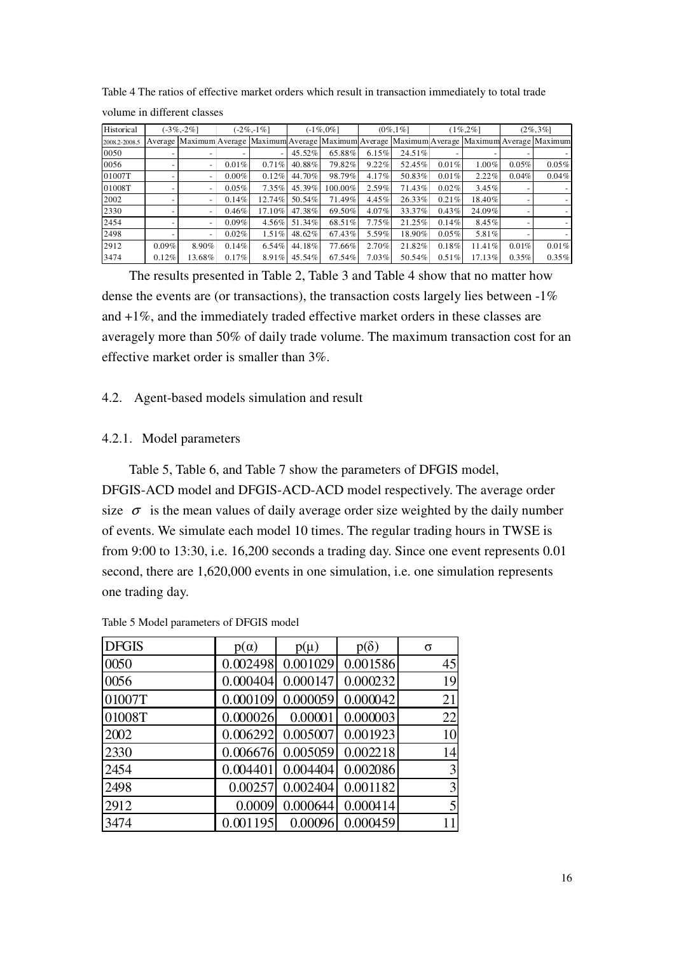| Table 4 The ratios of effective market orders which result in transaction immediately to total trade |  |
|------------------------------------------------------------------------------------------------------|--|
|------------------------------------------------------------------------------------------------------|--|

| Historical    |       | $-3\% -2\%$              |          | $-2\% - 1\%$ |           | $(-1\%, 0\%]$ |       | $(0\%, 1\%]$ |          | $(1\%2\%1)$ |       | $(2\%, 3\%]$                                                                                    |
|---------------|-------|--------------------------|----------|--------------|-----------|---------------|-------|--------------|----------|-------------|-------|-------------------------------------------------------------------------------------------------|
| 2008.2-2008.5 |       |                          |          |              |           |               |       |              |          |             |       | Average Maximum Average Maximum Average Maximum Average Maximum Average Maximum Average Maximum |
| 0050          |       |                          |          |              | $45.52\%$ | 65.88%        | 6.15% | 24.51%       |          |             |       |                                                                                                 |
| 0056          |       | $\overline{\phantom{a}}$ | $0.01\%$ | $0.71\%$     | 40.88%    | 79.82%        | 9.22% | 52.45%       | 0.01%    | $1.00\%$    | 0.05% | 0.05%                                                                                           |
| 01007T        |       | $\overline{\phantom{a}}$ | $0.00\%$ | 0.12%        | 44.70%    | 98.79%        | 4.17% | 50.83%       | 0.01%    | 2.22%       | 0.04% | 0.04%                                                                                           |
| 01008T        |       |                          | $0.05\%$ | $7.35\%$     | 45.39%    | $100.00\%$    | 2.59% | 71.43%       | 0.02%    | 3.45%       |       |                                                                                                 |
| 2002          |       |                          | 0.14%    | 12.74%       | 50.54%    | 71.49%        | 4.45% | 26.33%       | 0.21%    | 18.40%      |       |                                                                                                 |
| 2330          |       |                          | 0.46%    | 17.10%       | 47.38%    | 69.50%        | 4.07% | 33.37%       | 0.43%    | 24.09%      |       |                                                                                                 |
| 2454          |       |                          | $0.09\%$ | $4.56\%$     | 51.34%    | 68.51%        | 7.75% | 21.25%       | $0.14\%$ | 8.45%       |       |                                                                                                 |
| 2498          |       |                          | 0.02%    | $1.51\%$     | 48.62%    | 67.43%        | 5.59% | 18.90%       | 0.05%    | 5.81%       |       |                                                                                                 |
| 2912          | 0.09% | $8.90\%$                 | 0.14%    | $6.54\%$     | 44.18%    | 77.66%        | 2.70% | 21.82%       | 0.18%    | $11.41\%$   | 0.01% | $0.01\%$                                                                                        |
| 3474          | 0.12% | 13.68%                   | $0.17\%$ | 8.91%        | 45.54%    | 67.54%        | 7.03% | 50.54%       | $0.51\%$ | 17.13%      | 0.35% | $0.35\%$                                                                                        |

volume in different classes

The results presented in Table 2, Table 3 and Table 4 show that no matter how dense the events are (or transactions), the transaction costs largely lies between -1% and +1%, and the immediately traded effective market orders in these classes are averagely more than 50% of daily trade volume. The maximum transaction cost for an effective market order is smaller than 3%.

#### 4.2. Agent-based models simulation and result

### 4.2.1. Model parameters

Table 5, Table 6, and Table 7 show the parameters of DFGIS model, DFGIS-ACD model and DFGIS-ACD-ACD model respectively. The average order size  $\sigma$  is the mean values of daily average order size weighted by the daily number of events. We simulate each model 10 times. The regular trading hours in TWSE is from 9:00 to 13:30, i.e. 16,200 seconds a trading day. Since one event represents 0.01 second, there are 1,620,000 events in one simulation, i.e. one simulation represents one trading day.

DFGIS  $p(\alpha)$   $p(\mu)$   $p(\delta)$  σ 0.0050 0.002498 0.001029 0.001586 45 0.000404 0.000147 0.000232 19 01007T 0.000109 0.000059 0.000042 21 0.000026 0.00001 0.000003 22 2002 0.006292 0.005007 0.001923 10 2330 0.006676 0.005059 0.002218 14 2454 0.004401 0.004404 0.002086 3 2498 0.00257 0.002404 0.001182 3 2912 0.0009 0.000644 0.000414 5 3474 0.001195 0.00096 0.000459 11

Table 5 Model parameters of DFGIS model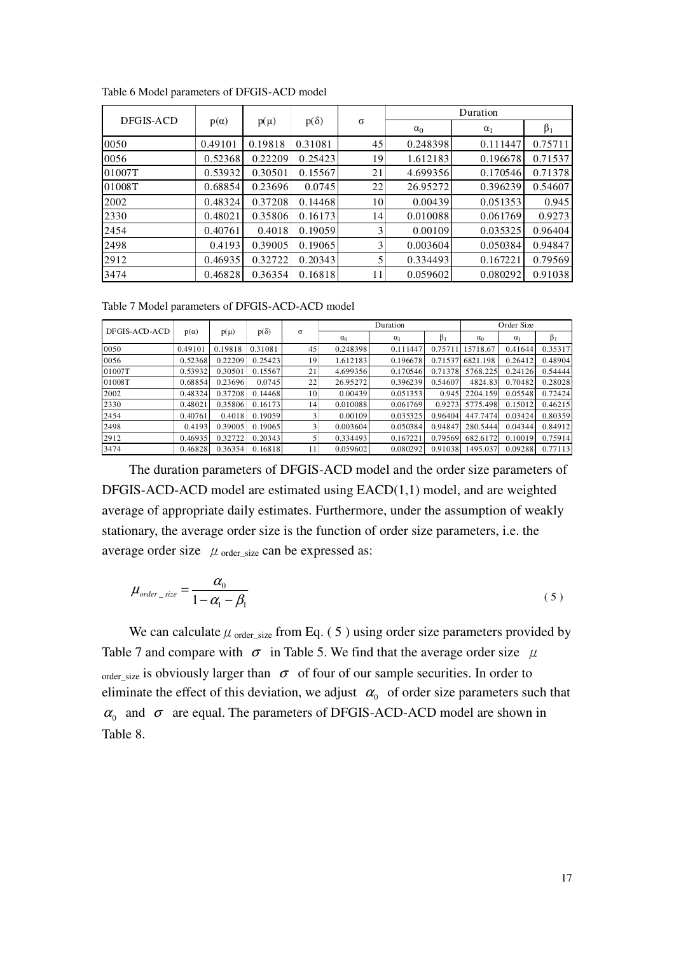|           |             |          |             |          |            | Duration   |           |
|-----------|-------------|----------|-------------|----------|------------|------------|-----------|
| DFGIS-ACD | $p(\alpha)$ | $p(\mu)$ | $p(\delta)$ | $\sigma$ | $\alpha_0$ | $\alpha_1$ | $\beta_1$ |
| 0050      | 0.49101     | 0.19818  | 0.31081     | 45       | 0.248398   | 0.111447   | 0.75711   |
| 0056      | 0.52368     | 0.22209  | 0.25423     | 19       | 1.612183   | 0.196678   | 0.71537   |
| 01007T    | 0.53932     | 0.30501  | 0.15567     | 21       | 4.699356   | 0.170546   | 0.71378   |
| 01008T    | 0.68854     | 0.23696  | 0.0745      | 22       | 26.95272   | 0.396239   | 0.54607   |
| 2002      | 0.48324     | 0.37208  | 0.14468     | 10       | 0.00439    | 0.051353   | 0.945     |
| 2330      | 0.48021     | 0.35806  | 0.16173     | 14       | 0.010088   | 0.061769   | 0.9273    |
| 2454      | 0.40761     | 0.4018   | 0.19059     | 3        | 0.00109    | 0.035325   | 0.96404   |
| 2498      | 0.4193      | 0.39005  | 0.19065     | 3        | 0.003604   | 0.050384   | 0.94847   |
| 2912      | 0.46935     | 0.32722  | 0.20343     | 5        | 0.334493   | 0.167221   | 0.79569   |
| 3474      | 0.46828     | 0.36354  | 0.16818     | 11       | 0.059602   | 0.080292   | 0.91038   |

Table 6 Model parameters of DFGIS-ACD model

Table 7 Model parameters of DFGIS-ACD-ACD model

|               |             |          |             |                 |            | Duration   |           |            | Order Size |           |
|---------------|-------------|----------|-------------|-----------------|------------|------------|-----------|------------|------------|-----------|
| DFGIS-ACD-ACD | $p(\alpha)$ | $p(\mu)$ | $p(\delta)$ | σ               | $\alpha_0$ | $\alpha_1$ | $\beta_1$ | $\alpha_0$ | $\alpha_1$ | $\beta_1$ |
| 0050          | 0.49101     | 0.19818  | 0.31081     | 45              | 0.248398   | 0.111447   | 0.7571    | 15718.67   | 0.41644    | 0.35317   |
| 0056          | 0.52368     | 0.22209  | 0.25423     | 19              | 1.612183   | 0.196678   | 0.71537   | 6821.198   | 0.26412    | 0.48904   |
| 01007T        | 0.53932     | 0.30501  | 0.15567     | 21              | 4.699356   | 0.170546   | 0.71378   | 5768.225   | 0.24126    | 0.54444   |
| 01008T        | 0.68854     | 0.23696  | 0.0745      | 22              | 26.95272   | 0.396239   | 0.54607   | 4824.83    | 0.70482    | 0.28028   |
| 2002          | 0.48324     | 0.37208  | 0.14468     | 10 <sup>1</sup> | 0.00439    | 0.051353   | 0.945     | 2204.159   | 0.05548    | 0.72424   |
| 2330          | 0.48021     | 0.35806  | 0.16173     | 14              | 0.010088   | 0.061769   | 0.9273    | 5775.498   | 0.15012    | 0.46215   |
| 2454          | 0.40761     | 0.4018   | 0.19059     | 3               | 0.00109    | 0.035325   | 0.96404   | 447.7474   | 0.03424    | 0.80359   |
| 2498          | 0.4193      | 0.39005  | 0.19065     | 3               | 0.003604   | 0.050384   | 0.94847   | 280.5444   | 0.04344    | 0.84912   |
| 2912          | 0.46935     | 0.32722  | 0.20343     |                 | 0.334493   | 0.167221   | 0.79569   | 682.6172   | 0.10019    | 0.75914   |
| 3474          | 0.46828     | 0.36354  | 0.16818     | 11              | 0.059602   | 0.080292   | 0.91038   | 1495.037   | 0.09288    | 0.77113   |

The duration parameters of DFGIS-ACD model and the order size parameters of DFGIS-ACD-ACD model are estimated using EACD(1,1) model, and are weighted average of appropriate daily estimates. Furthermore, under the assumption of weakly stationary, the average order size is the function of order size parameters, i.e. the average order size  $\mu$  order size can be expressed as:

$$
\mu_{order\_size} = \frac{\alpha_0}{1 - \alpha_1 - \beta_1} \tag{5}
$$

We can calculate  $\mu$  <sub>order\_size</sub> from Eq. (5) using order size parameters provided by Table 7 and compare with  $\sigma$  in Table 5. We find that the average order size  $\mu$ order\_size is obviously larger than  $\sigma$  of four of our sample securities. In order to eliminate the effect of this deviation, we adjust  $\alpha_0$  of order size parameters such that  $\alpha_0$  and  $\sigma$  are equal. The parameters of DFGIS-ACD-ACD model are shown in Table 8.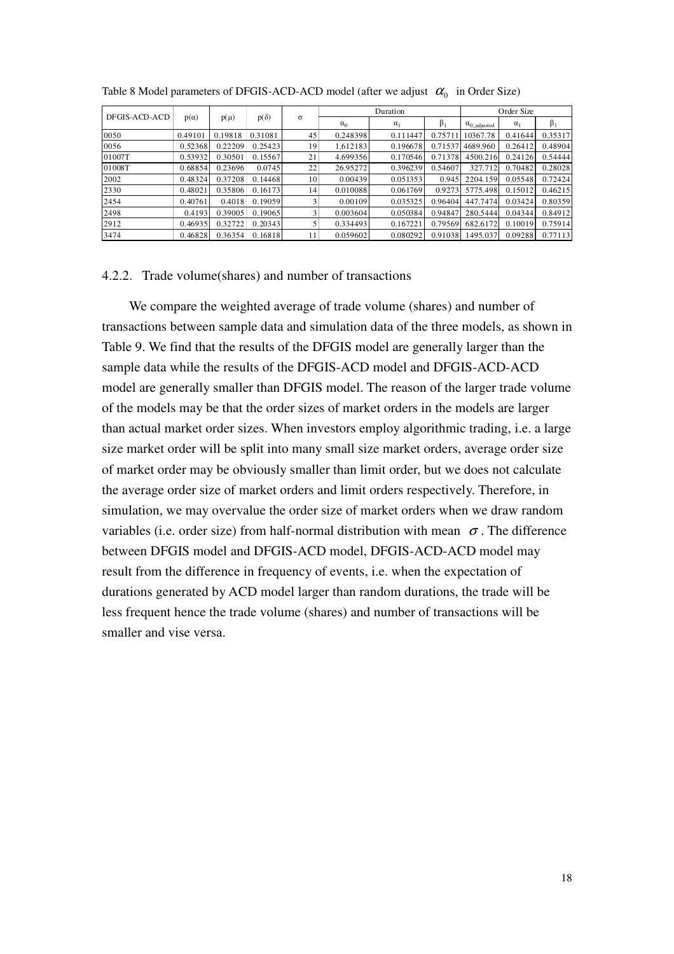|               |             |          |             |          |            | Duration   |           |                       | Order Size |         |
|---------------|-------------|----------|-------------|----------|------------|------------|-----------|-----------------------|------------|---------|
| DFGIS-ACD-ACD | $p(\alpha)$ | $p(\mu)$ | $p(\delta)$ | $\sigma$ | $\alpha_0$ | $\alpha_1$ | $\beta_1$ | $\alpha_{0}$ adjusted | $\alpha_1$ | β,      |
| 0050          | 0.49101     | 0.19818  | 0.31081     | 45       | 0.248398   | 0.111447   | 0.75711   | 10367.78              | 0.41644    | 0.35317 |
| 0056          | 0.52368     | 0.22209  | 0.25423     | 19       | 1.612183   | 0.196678   | 0.71537   | 4689.960              | 0.26412    | 0.48904 |
| 01007T        | 0.53932     | 0.30501  | 0.15567     | 21       | 4.699356   | 0.170546   | 0.71378   | 4500.216              | 0.24126    | 0.54444 |
| 01008T        | 0.68854     | 0.23696  | 0.0745      | 22       | 26.95272   | 0.396239   | 0.54607   | 327.712               | 0.70482    | 0.28028 |
| 2002          | 0.48324     | 0.37208  | 0.14468     | 10       | 0.00439    | 0.051353   | 0.945     | 2204.159              | 0.05548    | 0.72424 |
| 2330          | 0.48021     | 0.35806  | 0.16173     | 14       | 0.010088   | 0.061769   | 0.9273    | 5775.498              | 0.15012    | 0.46215 |
| 2454          | 0.40761     | 0.4018   | 0.19059     |          | 0.00109    | 0.035325   | 0.96404   | 447.7474              | 0.03424    | 0.80359 |
| 2498          | 0.4193      | 0.39005  | 0.19065     |          | 0.003604   | 0.050384   | 0.94847   | 280.5444              | 0.04344    | 0.84912 |
| 2912          | 0.46935     | 0.32722  | 0.20343     |          | 0.334493   | 0.167221   | 0.79569   | 682.6172              | 0.10019    | 0.75914 |
| 3474          | 0.46828     | 0.36354  | 0.16818     | 11       | 0.059602   | 0.080292   | 0.91038   | 1495.037              | 0.09288    | 0.77113 |

Table 8 Model parameters of DFGIS-ACD-ACD model (after we adjust  $\alpha_0$  in Order Size)

#### 4.2.2. Trade volume(shares) and number of transactions

We compare the weighted average of trade volume (shares) and number of transactions between sample data and simulation data of the three models, as shown in Table 9. We find that the results of the DFGIS model are generally larger than the sample data while the results of the DFGIS-ACD model and DFGIS-ACD-ACD model are generally smaller than DFGIS model. The reason of the larger trade volume of the models may be that the order sizes of market orders in the models are larger than actual market order sizes. When investors employ algorithmic trading, i.e. a large size market order will be split into many small size market orders, average order size of market order may be obviously smaller than limit order, but we does not calculate the average order size of market orders and limit orders respectively. Therefore, in simulation, we may overvalue the order size of market orders when we draw random variables (i.e. order size) from half-normal distribution with mean  $\sigma$ . The difference between DFGIS model and DFGIS-ACD model, DFGIS-ACD-ACD model may result from the difference in frequency of events, i.e. when the expectation of durations generated by ACD model larger than random durations, the trade will be less frequent hence the trade volume (shares) and number of transactions will be smaller and vise versa.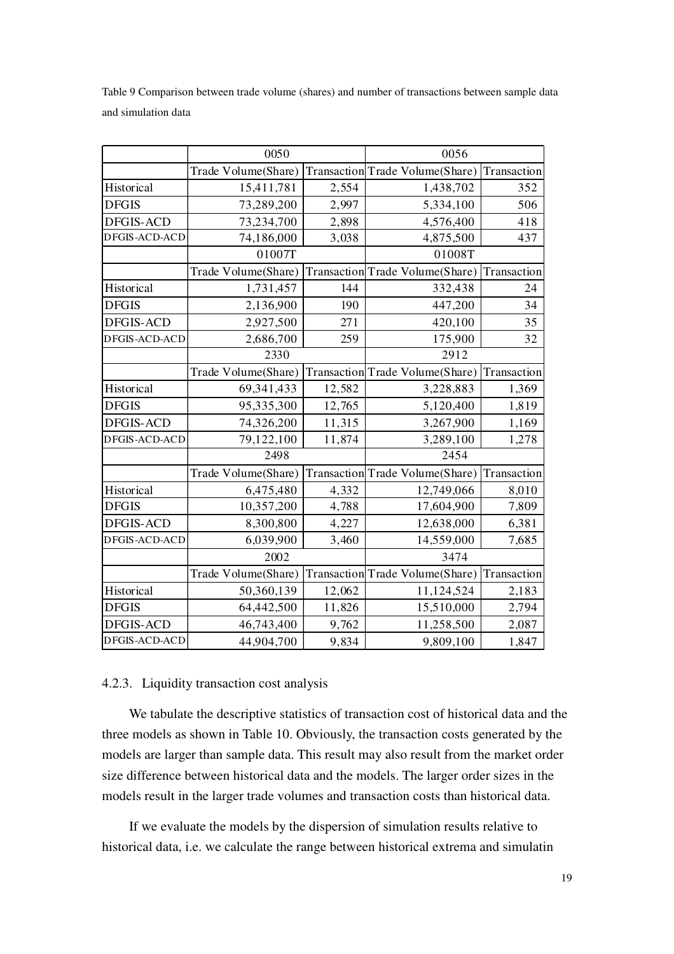Table 9 Comparison between trade volume (shares) and number of transactions between sample data and simulation data

|                  | 0050                |        | 0056                            |             |  |
|------------------|---------------------|--------|---------------------------------|-------------|--|
|                  | Trade Volume(Share) |        | Transaction Trade Volume(Share) | Transaction |  |
| Historical       | 15,411,781          | 2,554  | 1,438,702                       | 352         |  |
| <b>DFGIS</b>     | 73,289,200          | 2,997  | 5,334,100                       | 506         |  |
| <b>DFGIS-ACD</b> | 73,234,700          | 2,898  | 4,576,400                       | 418         |  |
| DFGIS-ACD-ACD    | 74,186,000          | 3,038  | 4,875,500                       | 437         |  |
|                  | 01007T              |        | 01008T                          |             |  |
|                  | Trade Volume(Share) |        | Transaction Trade Volume(Share) | Transaction |  |
| Historical       | 1,731,457           | 144    | 332,438                         | 24          |  |
| <b>DFGIS</b>     | 2,136,900           | 190    | 447,200                         | 34          |  |
| <b>DFGIS-ACD</b> | 2,927,500           | 271    | 420,100                         | 35          |  |
| DFGIS-ACD-ACD    | 2,686,700           | 259    | 175,900                         | 32          |  |
|                  | 2330                |        | 2912                            |             |  |
|                  | Trade Volume(Share) |        | Transaction Trade Volume(Share) | Transaction |  |
| Historical       | 69,341,433          | 12,582 | 3,228,883                       | 1,369       |  |
| <b>DFGIS</b>     | 95,335,300          | 12,765 | 5,120,400                       | 1,819       |  |
| <b>DFGIS-ACD</b> | 74,326,200          | 11,315 | 3,267,900                       | 1,169       |  |
| DFGIS-ACD-ACD    | 79,122,100          | 11,874 | 3,289,100                       | 1,278       |  |
|                  | 2498                |        | 2454                            |             |  |
|                  | Trade Volume(Share) |        | Transaction Trade Volume(Share) | Transaction |  |
| Historical       | 6,475,480           | 4,332  | 12,749,066                      | 8,010       |  |
| <b>DFGIS</b>     | 10,357,200          | 4,788  | 17,604,900                      | 7,809       |  |
| <b>DFGIS-ACD</b> | 8,300,800           | 4,227  | 12,638,000                      | 6,381       |  |
| DFGIS-ACD-ACD    | 6,039,900           | 3,460  | 14,559,000                      | 7,685       |  |
|                  | 2002                |        | 3474                            |             |  |
|                  | Trade Volume(Share) |        | Transaction Trade Volume(Share) | Transaction |  |
| Historical       | 50,360,139          | 12,062 | 11,124,524                      | 2,183       |  |
| <b>DFGIS</b>     | 64,442,500          | 11,826 | 15,510,000                      | 2,794       |  |
| <b>DFGIS-ACD</b> | 46,743,400          | 9,762  | 11,258,500                      | 2,087       |  |
| DFGIS-ACD-ACD    | 44,904,700          | 9,834  | 9,809,100                       | 1,847       |  |

#### 4.2.3. Liquidity transaction cost analysis

We tabulate the descriptive statistics of transaction cost of historical data and the three models as shown in Table 10. Obviously, the transaction costs generated by the models are larger than sample data. This result may also result from the market order size difference between historical data and the models. The larger order sizes in the models result in the larger trade volumes and transaction costs than historical data.

If we evaluate the models by the dispersion of simulation results relative to historical data, i.e. we calculate the range between historical extrema and simulatin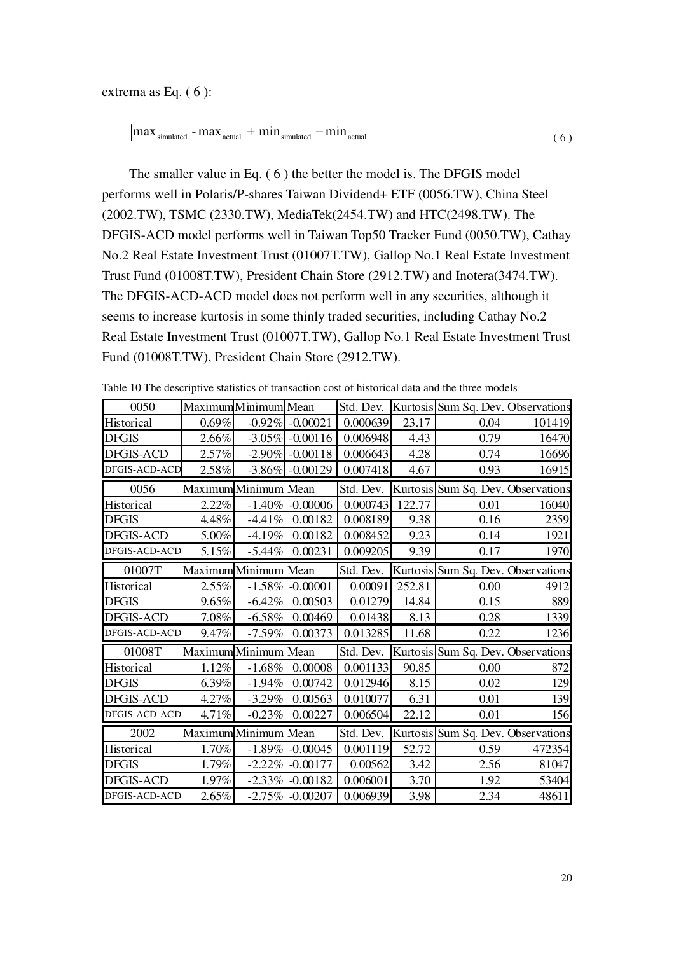extrema as Eq. ( 6 ):

$$
|\text{max}_{\text{simulated}} - \text{max}_{\text{actual}}| + |\text{min}_{\text{simulated}} - \text{min}_{\text{actual}}|
$$
 (6)

The smaller value in Eq. ( 6 ) the better the model is. The DFGIS model performs well in Polaris/P-shares Taiwan Dividend+ ETF (0056.TW), China Steel (2002.TW), TSMC (2330.TW), MediaTek(2454.TW) and HTC(2498.TW). The DFGIS-ACD model performs well in Taiwan Top50 Tracker Fund (0050.TW), Cathay No.2 Real Estate Investment Trust (01007T.TW), Gallop No.1 Real Estate Investment Trust Fund (01008T.TW), President Chain Store (2912.TW) and Inotera(3474.TW). The DFGIS-ACD-ACD model does not perform well in any securities, although it seems to increase kurtosis in some thinly traded securities, including Cathay No.2 Real Estate Investment Trust (01007T.TW), Gallop No.1 Real Estate Investment Trust Fund (01008T.TW), President Chain Store (2912.TW).

| 0050             |          | Maximum Minimum Mean |                    | Std. Dev. |        | Kurtosis Sum Sq. Dev. Observations |              |
|------------------|----------|----------------------|--------------------|-----------|--------|------------------------------------|--------------|
| Historical       | $0.69\%$ |                      | $-0.92\% -0.00021$ | 0.000639  | 23.17  | 0.04                               | 101419       |
| <b>DFGIS</b>     | 2.66%    | $-3.05\%$            | $-0.00116$         | 0.006948  | 4.43   | 0.79                               | 16470        |
| <b>DFGIS-ACD</b> | 2.57%    | $-2.90\%$            | $-0.00118$         | 0.006643  | 4.28   | 0.74                               | 16696        |
| DFGIS-ACD-ACD    | 2.58%    | $-3.86\%$            | $-0.00129$         | 0.007418  | 4.67   | 0.93                               | 16915        |
| 0056             |          | Maximum Minimum Mean |                    | Std. Dev. |        | Kurtosis Sum Sq. Dev. Observations |              |
| Historical       | 2.22%    | $-1.40%$             | $-0.00006$         | 0.000743  | 122.77 | 0.01                               | 16040        |
| DFGIS            | 4.48%    | $-4.41%$             | 0.00182            | 0.008189  | 9.38   | 0.16                               | 2359         |
| <b>DFGIS-ACD</b> | 5.00%    | $-4.19%$             | 0.00182            | 0.008452  | 9.23   | 0.14                               | 1921         |
| DFGIS-ACD-ACD    | 5.15%    | $-5.44%$             | 0.00231            | 0.009205  | 9.39   | 0.17                               | 1970         |
| 01007T           |          | Maximum Minimum Mean |                    | Std. Dev. |        | Kurtosis Sum Sq. Dev.              | Observations |
| Historical       | 2.55%    | $-1.58%$             | $-0.00001$         | 0.00091   | 252.81 | 0.00                               | 4912         |
| <b>DFGIS</b>     | 9.65%    | $-6.42%$             | 0.00503            | 0.01279   | 14.84  | 0.15                               | 889          |
| <b>DFGIS-ACD</b> | 7.08%    | $-6.58%$             | 0.00469            | 0.01438   | 8.13   | 0.28                               | 1339         |
| DFGIS-ACD-ACD    | 9.47%    | $-7.59%$             | 0.00373            | 0.013285  | 11.68  | 0.22                               | 1236         |
| 01008T           |          | Maximum Minimum Mean |                    | Std. Dev. |        | Kurtosis Sum Sq. Dev.              | Observations |
| Historical       | 1.12%    | $-1.68%$             | 0.00008            | 0.001133  | 90.85  | 0.00                               | 872          |
| DFGIS            | 6.39%    | $-1.94%$             | 0.00742            | 0.012946  | 8.15   | 0.02                               | 129          |
| <b>DFGIS-ACD</b> | 4.27%    | $-3.29%$             | 0.00563            | 0.010077  | 6.31   | 0.01                               | 139          |
| DFGIS-ACD-ACD    | 4.71%    | $-0.23%$             | 0.00227            | 0.006504  | 22.12  | 0.01                               | 156          |
| 2002             |          | Maximum Minimum Mean |                    | Std. Dev. |        | Kurtosis Sum Sq. Dev.              | Observations |
| Historical       | 1.70%    | $-1.89%$             | $-0.00045$         | 0.001119  | 52.72  | 0.59                               | 472354       |
| <b>DFGIS</b>     | 1.79%    | $-2.22\%$            | $-0.00177$         | 0.00562   | 3.42   | 2.56                               | 81047        |
| <b>DFGIS-ACD</b> | 1.97%    | $-2.33%$             | $-0.00182$         | 0.006001  | 3.70   | 1.92                               | 53404        |
| DFGIS-ACD-ACD    | 2.65%    | $-2.75%$             | $-0.00207$         | 0.006939  | 3.98   | 2.34                               | 48611        |

Table 10 The descriptive statistics of transaction cost of historical data and the three models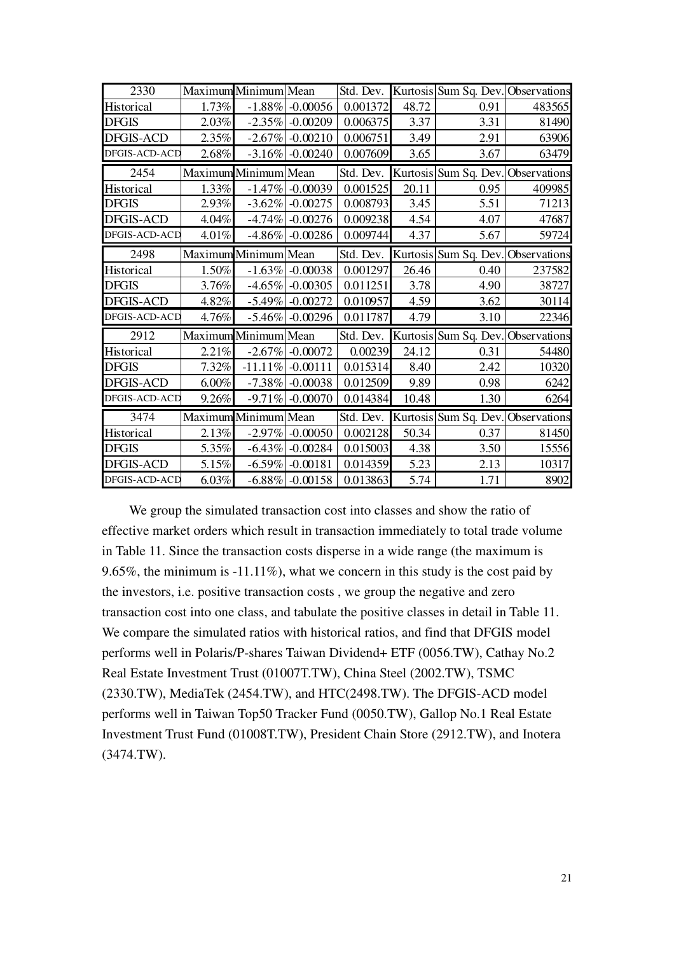| 2330             | Maximum Minimum Mean |            |                      |           |       | Std. Dev. Kurtosis Sum Sq. Dev. Observations |        |
|------------------|----------------------|------------|----------------------|-----------|-------|----------------------------------------------|--------|
| Historical       | 1.73%                |            | $-1.88\% -0.00056$   | 0.001372  | 48.72 | 0.91                                         | 483565 |
| <b>DFGIS</b>     | 2.03%                |            | $-2.35\%$ $-0.00209$ | 0.006375  | 3.37  | 3.31                                         | 81490  |
| <b>DFGIS-ACD</b> | 2.35%                |            | $-2.67\% -0.00210$   | 0.006751  | 3.49  | 2.91                                         | 63906  |
| DFGIS-ACD-ACD    | 2.68%                |            | $-3.16\%$ $-0.00240$ | 0.007609  | 3.65  | 3.67                                         | 63479  |
| 2454             | Maximum Minimum Mean |            |                      | Std. Dev. |       | Kurtosis Sum Sq. Dev. Observations           |        |
| Historical       | 1.33%                |            | $-1.47\% -0.00039$   | 0.001525  | 20.11 | 0.95                                         | 409985 |
| <b>DFGIS</b>     | 2.93%                | $-3.62\%$  | $-0.00275$           | 0.008793  | 3.45  | 5.51                                         | 71213  |
| <b>DFGIS-ACD</b> | 4.04%                |            | $-4.74\%$ $-0.00276$ | 0.009238  | 4.54  | 4.07                                         | 47687  |
| DFGIS-ACD-ACD    | $4.01\%$             |            | $-4.86\% -0.00286$   | 0.009744  | 4.37  | 5.67                                         | 59724  |
| 2498             | Maximum Minimum Mean |            |                      | Std. Dev. |       | Kurtosis Sum Sq. Dev. Observations           |        |
| Historical       | $1.50\%$             |            | $-1.63\% -0.00038$   | 0.001297  | 26.46 | 0.40                                         | 237582 |
| <b>DFGIS</b>     | 3.76%                | $-4.65\%$  | $-0.00305$           | 0.011251  | 3.78  | 4.90                                         | 38727  |
| DFGIS-ACD        | 4.82%                |            | $-5.49\%$ $-0.00272$ | 0.010957  | 4.59  | 3.62                                         | 30114  |
| DFGIS-ACD-ACD    | 4.76%                |            | $-5.46\%$ $-0.00296$ | 0.011787  | 4.79  | 3.10                                         | 22346  |
| 2912             | Maximum Minimum Mean |            |                      |           |       | Std. Dev. Kurtosis Sum Sq. Dev. Observations |        |
| Historical       | 2.21%                |            | $-2.67\%$ $-0.00072$ | 0.00239   | 24.12 | 0.31                                         | 54480  |
| <b>DFGIS</b>     | 7.32%                | $-11.11\%$ | $-0.00111$           | 0.015314  | 8.40  | 2.42                                         | 10320  |
| DFGIS-ACD        | 6.00%                |            | $-7.38\% -0.00038$   | 0.012509  | 9.89  | 0.98                                         | 6242   |
| DFGIS-ACD-ACD    | 9.26%                |            | $-9.71\%$ $-0.00070$ | 0.014384  | 10.48 | 1.30                                         | 6264   |
| 3474             | Maximum Minimum Mean |            |                      | Std. Dev. |       | Kurtosis Sum Sq. Dev. Observations           |        |
| Historical       | 2.13%                |            | $-2.97\%$ $-0.00050$ | 0.002128  | 50.34 | 0.37                                         | 81450  |
| <b>DFGIS</b>     | 5.35%                |            | $-6.43\%$ $-0.00284$ | 0.015003  | 4.38  | 3.50                                         | 15556  |
| DFGIS-ACD        | 5.15%                |            | $-6.59\% -0.00181$   | 0.014359  | 5.23  | 2.13                                         | 10317  |
| DFGIS-ACD-ACD    | 6.03%                |            | $-6.88\%$ $-0.00158$ | 0.013863  | 5.74  | 1.71                                         | 8902   |

We group the simulated transaction cost into classes and show the ratio of effective market orders which result in transaction immediately to total trade volume in Table 11. Since the transaction costs disperse in a wide range (the maximum is 9.65%, the minimum is -11.11%), what we concern in this study is the cost paid by the investors, i.e. positive transaction costs , we group the negative and zero transaction cost into one class, and tabulate the positive classes in detail in Table 11. We compare the simulated ratios with historical ratios, and find that DFGIS model performs well in Polaris/P-shares Taiwan Dividend+ ETF (0056.TW), Cathay No.2 Real Estate Investment Trust (01007T.TW), China Steel (2002.TW), TSMC (2330.TW), MediaTek (2454.TW), and HTC(2498.TW). The DFGIS-ACD model performs well in Taiwan Top50 Tracker Fund (0050.TW), Gallop No.1 Real Estate Investment Trust Fund (01008T.TW), President Chain Store (2912.TW), and Inotera (3474.TW).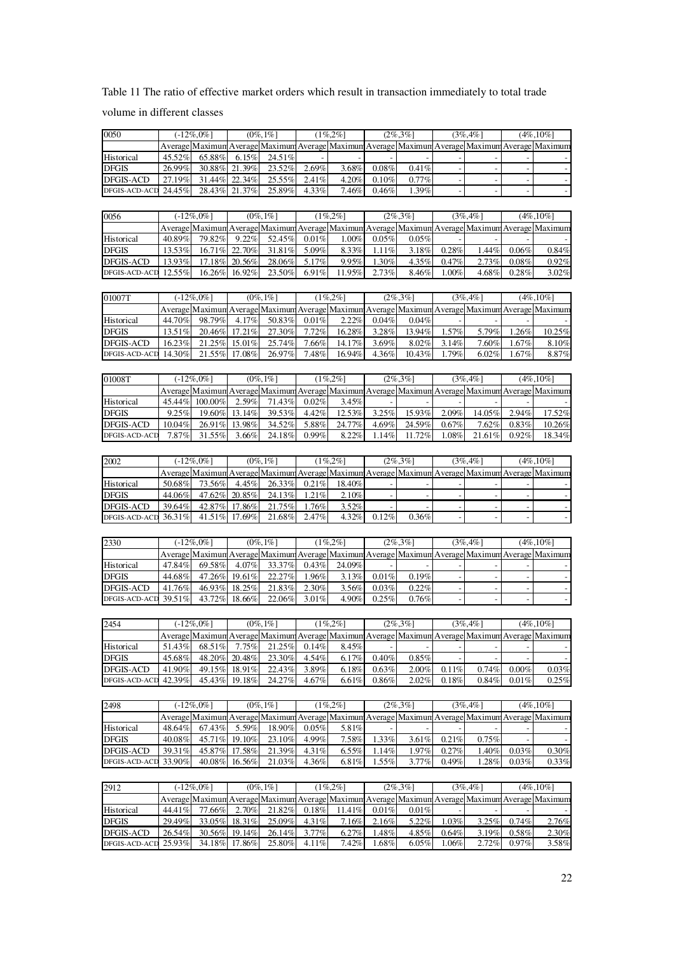Table 11 The ratio of effective market orders which result in transaction immediately to total trade volume in different classes

| Average Maximum Average Maximum Average Maximum Average Maximum Average Maximum Average Maximum<br>6.15%<br>45.52%<br>65.88%<br>24.51%                                                                         | $(3\%, 4\%)$   |                   | $(4\%, 10\%]$                              |
|----------------------------------------------------------------------------------------------------------------------------------------------------------------------------------------------------------------|----------------|-------------------|--------------------------------------------|
|                                                                                                                                                                                                                |                |                   |                                            |
| Historical                                                                                                                                                                                                     |                |                   |                                            |
| <b>DFGIS</b><br>26.99%<br>30.88% 21.39%<br>23.52%<br>2.69%<br>3.68%<br>$0.08\%$<br>0.41%                                                                                                                       |                |                   |                                            |
| 22.34%<br>25.55%<br><b>DFGIS-ACD</b><br>27.19%<br>31.44%<br>2.41%<br>4.20%<br>0.10%<br>0.77%                                                                                                                   |                |                   |                                            |
| DFGIS-ACD-ACD<br>24.45%<br>28.43%<br>21.37%<br>25.89%<br>7.46%<br>0.46%<br>1.39%<br>4.33%                                                                                                                      |                |                   |                                            |
|                                                                                                                                                                                                                |                |                   |                                            |
|                                                                                                                                                                                                                |                |                   |                                            |
| $(0\%, 1\%)$<br>$(1\%, 2\%)$<br>0056<br>$(-12\%, 0\%)$<br>$(2\%, 3\%)$<br>$(3\%, 4\%)$                                                                                                                         |                |                   | $(4\%, 10\%)$                              |
| Average Maximum Average Maximum Average Maximum Average Maximum Average Maximum Average Maximum                                                                                                                |                |                   |                                            |
| Historical<br>40.89%<br>79.82%<br>9.22%<br>52.45%<br>0.01%<br>1.00%<br>0.05%<br>0.05%                                                                                                                          |                |                   |                                            |
| <b>DFGIS</b><br>31.81%<br>0.28%<br>13.53%<br>16.71% 22.70%<br>5.09%<br>8.33%<br>1.11%<br>3.18%                                                                                                                 | 1.44%          | 0.06%             | 0.84%                                      |
| <b>DFGIS-ACD</b><br>13.93%<br>17.18% 20.56%<br>28.06%<br>5.17%<br>9.95%<br>1.30%<br>4.35%<br>0.47%                                                                                                             | 2.73%          | 0.08%             | 0.92%                                      |
| DFGIS-ACD-ACD<br>16.26%<br>12.55%<br>16.92%<br>23.50%<br>6.91%<br>11.95%<br>2.73%<br>8.46%<br>1.00%                                                                                                            | 4.68%          | 0.28%             | 3.02%                                      |
|                                                                                                                                                                                                                |                |                   |                                            |
|                                                                                                                                                                                                                |                |                   |                                            |
| $(0\%, 1\%)$<br>$(1\%, 2\%)$<br>$(2\%, 3\%)$<br>01007T<br>$(-12\%, 0\%)$<br>$(3\%, 4\%)$                                                                                                                       |                |                   | $(4\%, 10\%]$                              |
| Average Maximum Average Maximum Average Maximum Average Maximum Average Maximum Average Maximum                                                                                                                |                |                   |                                            |
| Historical<br>44.70%<br>98.79%<br>4.17%<br>50.83%<br>0.01%<br>2.22%<br>0.04%<br>0.04%                                                                                                                          |                |                   |                                            |
| <b>DFGIS</b><br>13.51%<br>20.46% 17.21%<br>27.30%<br>7.72%<br>16.28%<br>3.28%<br>13.94%<br>1.57%                                                                                                               | 5.79%          | 1.26%             | 10.25%                                     |
| <b>DFGIS-ACD</b><br>16.23%<br>21.25% 15.01%<br>25.74%<br>7.66%<br>14.17%<br>3.69%<br>8.02%<br>3.14%                                                                                                            | 7.60%          | $1.67\%$          | 8.10%                                      |
| DFGIS-ACD-ACD<br>14.30%<br>21.55%<br>17.08%<br>26.97%<br>7.48%<br>16.94%<br>4.36%<br>10.43%<br>1.79%                                                                                                           | 6.02%          | 1.67%             | 8.87%                                      |
|                                                                                                                                                                                                                |                |                   |                                            |
| $(0\%, 1\%)$<br>$(1\%, 2\%)$<br>$(2\%, 3\%)$<br>01008T<br>$(-12\%, 0\%)$<br>$(3\%, 4\%)$                                                                                                                       |                |                   | $(4\%, 10\%]$                              |
|                                                                                                                                                                                                                |                |                   |                                            |
| Average Maximun Average Maximun Average Maximun Average Maximun Average Maximun Average Maximun                                                                                                                |                |                   |                                            |
| Historical<br>45.44% 100.00%<br>2.59%<br>71.43%<br>0.02%<br>3.45%                                                                                                                                              |                |                   |                                            |
| <b>DFGIS</b><br>9.25%<br>39.53%<br>3.25%<br>15.93%<br>2.09%<br>19.60% 13.14%<br>4.42%<br>12.53%                                                                                                                | 14.05%         | 2.94%             | 17.52%                                     |
| <b>DFGIS-ACD</b><br>$10.04\%$<br>26.91% 13.98%<br>34.52%<br>5.88%<br>24.77%<br>4.69%<br>24.59%<br>0.67%                                                                                                        | 7.62%          | 0.83%             | 10.26%                                     |
| DFGIS-ACD-ACD<br>24.18%<br>0.99%<br>7.87%<br>31.55%<br>3.66%<br>8.22%<br>1.14%<br>11.72%<br>1.08%                                                                                                              | 21.61%         | 0.92%             | 18.34%                                     |
|                                                                                                                                                                                                                |                |                   |                                            |
| $(0\%, 1\%)$<br>$(1\%, 2\%)$<br>2002<br>$(-12\%, 0\%)$<br>$(2\%, 3\%)$<br>$(3\%, 4\%)$                                                                                                                         |                |                   | $(4\%, 10\%]$                              |
| Average Maximun Average Maximun Average Maximun Average Maximun Average Maximun Average Maximun                                                                                                                |                |                   |                                            |
|                                                                                                                                                                                                                |                |                   |                                            |
| Historical<br>50.68%<br>73.56%<br>4.45%<br>26.33%<br>0.21%<br>18.40%                                                                                                                                           |                |                   |                                            |
|                                                                                                                                                                                                                |                |                   |                                            |
| <b>DFGIS</b><br>44.06%<br>47.62% 20.85%<br>24.13%<br>1.21%<br>2.10%                                                                                                                                            |                |                   |                                            |
| <b>DFGIS-ACD</b><br>39.64%<br>42.87% 17.86%<br>21.75%<br>1.76%<br>3.52%                                                                                                                                        |                |                   |                                            |
| DFGIS-ACD-ACD<br>41.51%<br>17.69%<br>0.12%<br>0.36%<br>36.31%<br>21.68%<br>2.47%<br>4.32%                                                                                                                      |                |                   |                                            |
|                                                                                                                                                                                                                |                |                   |                                            |
| $(0\%, 1\%)$<br>$(1\%, 2\%)$<br>2330<br>$(-12\%, 0\%)$<br>$(2\%, 3\%)$<br>$(3\%, 4\%)$                                                                                                                         |                |                   | $(4\%, 10\%]$                              |
|                                                                                                                                                                                                                |                |                   |                                            |
| Average Maximun Average Maximun Average Maximun Average Maximun Average Maximun Average Maximum                                                                                                                |                |                   |                                            |
| 47.84%<br>69.58%<br>4.07%<br>33.37%<br>0.43%<br>24.09%<br>Historical                                                                                                                                           |                |                   |                                            |
| <b>DFGIS</b><br>22.27%<br>0.19%<br>44.68%<br>47.26% 19.61%<br>1.96%<br>3.13%<br>0.01%                                                                                                                          |                |                   |                                            |
| <b>DFGIS-ACD</b><br>41.76%<br>46.93% 18.25%<br>21.83%<br>2.30%<br>3.56%<br>0.03%<br>0.22%                                                                                                                      |                |                   |                                            |
| DFGIS-ACD-ACD<br>39.51%<br>43.72%<br>22.06%<br>3.01%<br>4.90%<br>0.25%<br>18.66%<br>0.76%                                                                                                                      |                |                   |                                            |
|                                                                                                                                                                                                                |                |                   |                                            |
| 2454<br>$(-12\%, 0\%)$<br>$(0\%, 1\%)$<br>$(1\%, 2\%)$<br>$(2\%, 3\%)$<br>$(3\%, 4\%)$                                                                                                                         |                |                   | $(4\%, 10\%]$                              |
| Average Maximun Average Maximun Average Maximun Average Maximun Average Maximun Average Maximun                                                                                                                |                |                   |                                            |
| 51.43%<br>68.51%<br>0.14%<br>8.45%                                                                                                                                                                             |                |                   |                                            |
| Historical<br>7.75%<br>21.25%                                                                                                                                                                                  |                |                   |                                            |
| <b>DFGIS</b><br>45.68%<br>48.20%<br>20.48%<br>23.30%<br>4.54%<br>6.17%<br>0.40%<br>0.85%                                                                                                                       |                |                   |                                            |
| <b>DFGIS-ACD</b><br>0.11%<br>41.90%<br>49.15% 18.91%<br>22.43%<br>3.89%<br>6.18%<br>0.63%<br>2.00%                                                                                                             | 0.74%          | $0.00\%$          | 0.03%                                      |
| DFGIS-ACD-ACD<br>24.27%<br>2.02%<br>0.18%<br>42.39%<br>45.43%<br>19.18%<br>4.67%<br>6.61%<br>$0.86\%$                                                                                                          | $0.84\%$       | 0.01%             |                                            |
|                                                                                                                                                                                                                |                |                   | 0.25%                                      |
| $(0\%, 1\%)$<br>$(1\%, 2\%)$<br>2498<br>$(-12\%, 0\%)$<br>$(2\%, 3\%)$<br>$(3\%, 4\%)$                                                                                                                         |                |                   | $(4\%, 10\%]$                              |
| Average Maximun Average Maximun Average Maximun Average Maximun Average Maximun Average Maximum                                                                                                                |                |                   |                                            |
| 48.64%<br>5.59%<br>18.90%<br>0.05%<br>Historical<br>67.43%<br>5.81%                                                                                                                                            |                |                   |                                            |
| 1.33%<br>3.61%<br><b>DFGIS</b><br>40.08%<br>45.71%<br>19.10%<br>23.10%<br>4.99%<br>7.58%<br>0.21%                                                                                                              | 0.75%          |                   |                                            |
| <b>DFGIS-ACD</b><br>39.31%<br>45.87% 17.58%<br>21.39%<br>4.31%<br>6.55%<br>1.14%<br>1.97%<br>0.27%                                                                                                             | 1.40%          | 0.03%             |                                            |
| DFGIS-ACD-ACD<br>0.49%<br>33.90%<br>40.08%<br>16.56%<br>21.03%<br>4.36%<br>6.81%<br>1.55%<br>3.77%                                                                                                             | 1.28%          | $0.03\%$          | 0.33%                                      |
|                                                                                                                                                                                                                |                |                   |                                            |
|                                                                                                                                                                                                                |                |                   |                                            |
| 2912<br>$(-12\%, 0\%)$<br>$(0\%, 1\%)$<br>$(1\%, 2\%)$<br>$(2\%, 3\%)$<br>$(3\%, 4\%)$                                                                                                                         |                |                   | $(4\%, 10\%]$                              |
| Average Maximum Average Maximum Average Maximum<br>Average Maximum Average Maximum                                                                                                                             |                |                   |                                            |
| 44.41%<br>77.66%<br>2.70%<br>21.82%<br>0.18%<br>11.41%<br>0.01%<br>Historical<br>0.01%                                                                                                                         |                |                   |                                            |
| 29.49%<br><b>DFGIS</b><br>33.05%<br>18.31%<br>25.09%<br>4.31%<br>7.16%<br>2.16%<br>5.22%<br>1.03%                                                                                                              | 3.25%          | 0.74%             | 2.76%                                      |
| <b>DFGIS-ACD</b><br>26.54%<br>30.56%<br>19.14%<br>26.14%<br>3.77%<br>6.27%<br>1.48%<br>4.85%<br>0.64%<br>DFGIS-ACD-ACD<br>25.93%<br>34.18%<br>17.86%<br>25.80%<br>4.11%<br>7.42%<br>1.68%<br>$6.05\%$<br>1.06% | 3.19%<br>2.72% | 0.58%<br>$0.97\%$ | 0.30%<br>Average Maximum<br>2.30%<br>3.58% |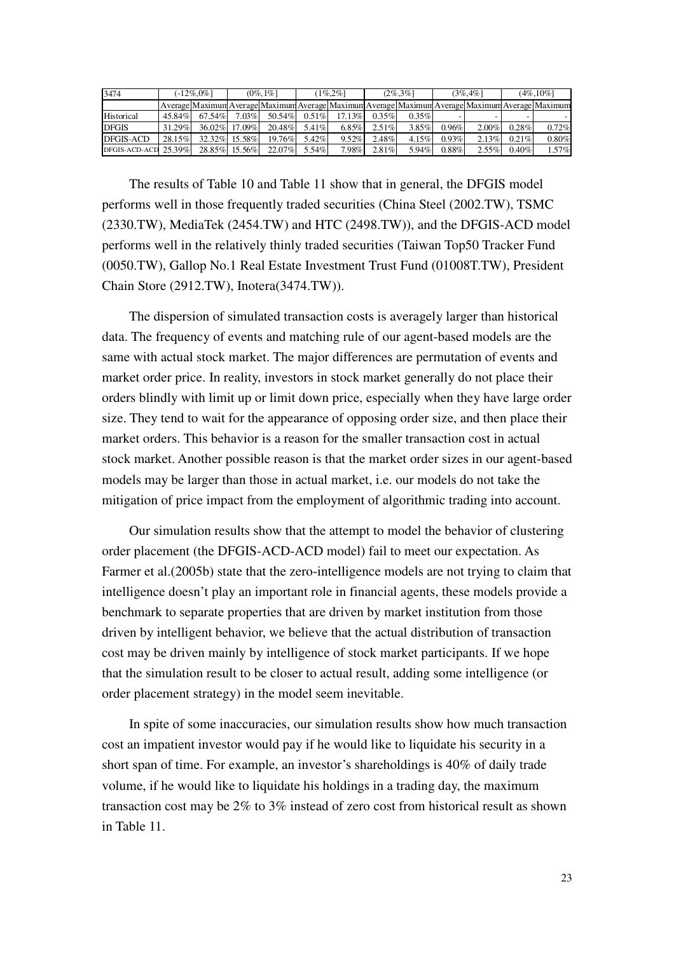| 3474                    | (-12%.0%] |           | $(0\%, 1\%)$  |                                                                                                 | $1\%2\%$ |          | $(2\% \cdot 3\%)$ |          | $(3\%, 4\%)$ |          | $(4\%, 10\%]$ |       |
|-------------------------|-----------|-----------|---------------|-------------------------------------------------------------------------------------------------|----------|----------|-------------------|----------|--------------|----------|---------------|-------|
|                         |           |           |               | Average Maximum Average Maximum Average Maximum Average Maximum Average Maximum Average Maximum |          |          |                   |          |              |          |               |       |
| Historical              | 45.84%    | 67.54%    | $7.03\%$      | 50.54%                                                                                          | $0.51\%$ | 17.13%   | $0.35\%$          | $0.35\%$ |              |          |               |       |
| <b>DFGIS</b>            | 31.29%    |           | 36.02% 17.09% | 20.48%                                                                                          | $5.41\%$ | $6.85\%$ | $2.51\%$          | 3.85%    | 0.96%        | $2.00\%$ | 0.28%         | 0.72% |
| <b>DFGIS-ACD</b>        | 28.15%    | $32.32\%$ | 15.58%        | $19.76\%$                                                                                       | 5.42%    | 9.52%    | 2.48%             | $4.15\%$ | 0.93%        | $2.13\%$ | $0.21\%$      | 0.80% |
| DFGIS-ACD-ACD $25.39\%$ |           |           | 28.85% 15.56% | 22.07%                                                                                          | 5.54%    | 7.98%    | 2.81%             | 5.94%    | 0.88%        | $2.55\%$ | 0.40%         | 1.57% |

The results of Table 10 and Table 11 show that in general, the DFGIS model performs well in those frequently traded securities (China Steel (2002.TW), TSMC (2330.TW), MediaTek (2454.TW) and HTC (2498.TW)), and the DFGIS-ACD model performs well in the relatively thinly traded securities (Taiwan Top50 Tracker Fund (0050.TW), Gallop No.1 Real Estate Investment Trust Fund (01008T.TW), President Chain Store (2912.TW), Inotera(3474.TW)).

The dispersion of simulated transaction costs is averagely larger than historical data. The frequency of events and matching rule of our agent-based models are the same with actual stock market. The major differences are permutation of events and market order price. In reality, investors in stock market generally do not place their orders blindly with limit up or limit down price, especially when they have large order size. They tend to wait for the appearance of opposing order size, and then place their market orders. This behavior is a reason for the smaller transaction cost in actual stock market. Another possible reason is that the market order sizes in our agent-based models may be larger than those in actual market, i.e. our models do not take the mitigation of price impact from the employment of algorithmic trading into account.

Our simulation results show that the attempt to model the behavior of clustering order placement (the DFGIS-ACD-ACD model) fail to meet our expectation. As Farmer et al.(2005b) state that the zero-intelligence models are not trying to claim that intelligence doesn't play an important role in financial agents, these models provide a benchmark to separate properties that are driven by market institution from those driven by intelligent behavior, we believe that the actual distribution of transaction cost may be driven mainly by intelligence of stock market participants. If we hope that the simulation result to be closer to actual result, adding some intelligence (or order placement strategy) in the model seem inevitable.

In spite of some inaccuracies, our simulation results show how much transaction cost an impatient investor would pay if he would like to liquidate his security in a short span of time. For example, an investor's shareholdings is 40% of daily trade volume, if he would like to liquidate his holdings in a trading day, the maximum transaction cost may be 2% to 3% instead of zero cost from historical result as shown in Table 11.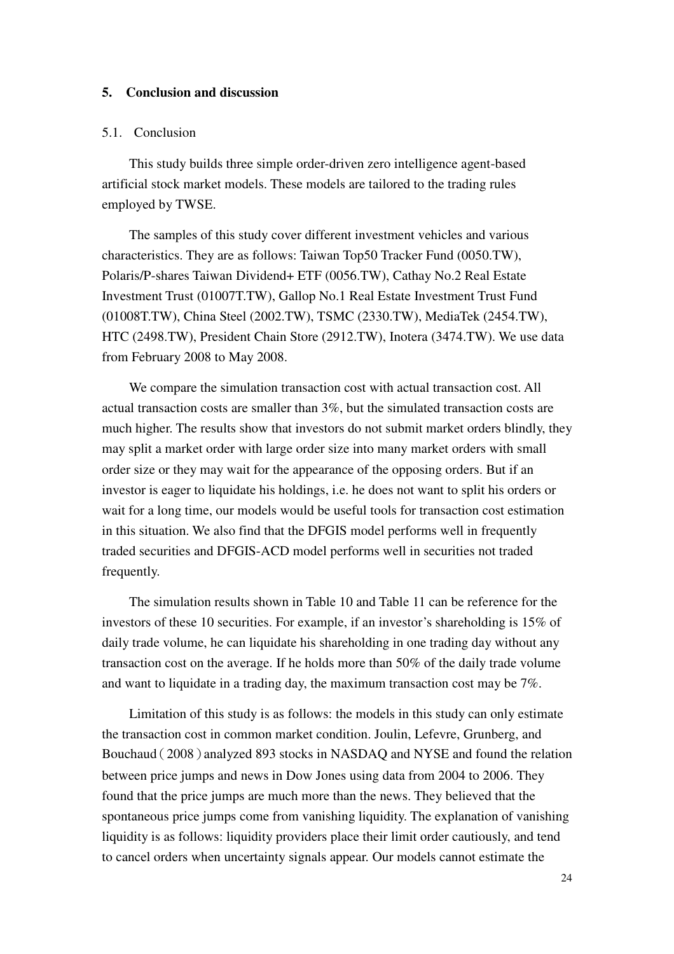#### **5. Conclusion and discussion**

#### 5.1. Conclusion

This study builds three simple order-driven zero intelligence agent-based artificial stock market models. These models are tailored to the trading rules employed by TWSE.

The samples of this study cover different investment vehicles and various characteristics. They are as follows: Taiwan Top50 Tracker Fund (0050.TW), Polaris/P-shares Taiwan Dividend+ ETF (0056.TW), Cathay No.2 Real Estate Investment Trust (01007T.TW), Gallop No.1 Real Estate Investment Trust Fund (01008T.TW), China Steel (2002.TW), TSMC (2330.TW), MediaTek (2454.TW), HTC (2498.TW), President Chain Store (2912.TW), Inotera (3474.TW). We use data from February 2008 to May 2008.

We compare the simulation transaction cost with actual transaction cost. All actual transaction costs are smaller than 3%, but the simulated transaction costs are much higher. The results show that investors do not submit market orders blindly, they may split a market order with large order size into many market orders with small order size or they may wait for the appearance of the opposing orders. But if an investor is eager to liquidate his holdings, i.e. he does not want to split his orders or wait for a long time, our models would be useful tools for transaction cost estimation in this situation. We also find that the DFGIS model performs well in frequently traded securities and DFGIS-ACD model performs well in securities not traded frequently.

The simulation results shown in Table 10 and Table 11 can be reference for the investors of these 10 securities. For example, if an investor's shareholding is 15% of daily trade volume, he can liquidate his shareholding in one trading day without any transaction cost on the average. If he holds more than 50% of the daily trade volume and want to liquidate in a trading day, the maximum transaction cost may be 7%.

Limitation of this study is as follows: the models in this study can only estimate the transaction cost in common market condition. Joulin, Lefevre, Grunberg, and Bouchaud (2008) analyzed 893 stocks in NASDAQ and NYSE and found the relation between price jumps and news in Dow Jones using data from 2004 to 2006. They found that the price jumps are much more than the news. They believed that the spontaneous price jumps come from vanishing liquidity. The explanation of vanishing liquidity is as follows: liquidity providers place their limit order cautiously, and tend to cancel orders when uncertainty signals appear. Our models cannot estimate the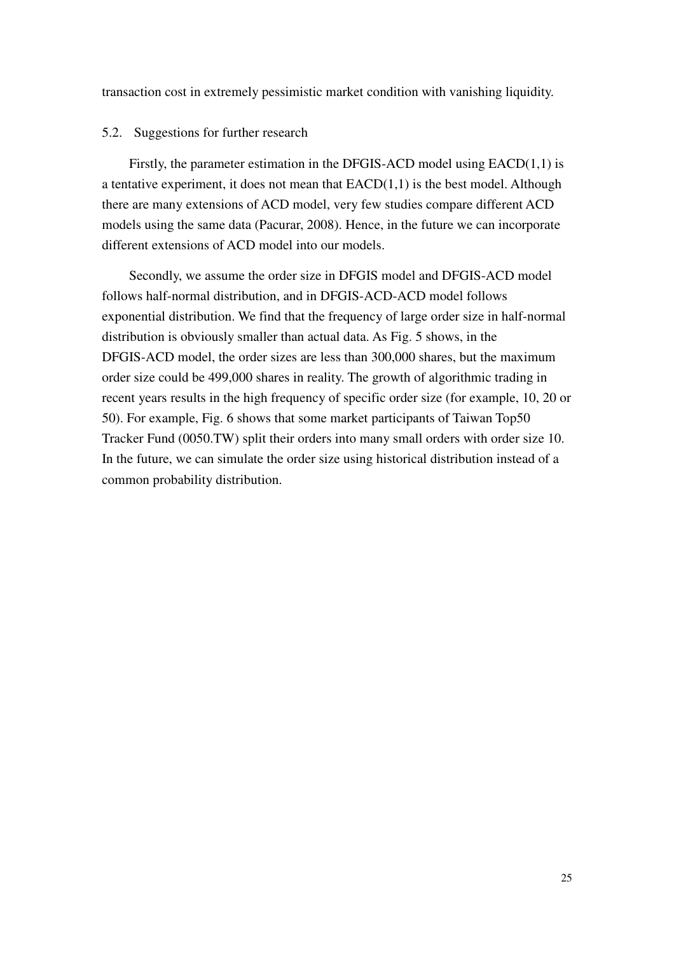transaction cost in extremely pessimistic market condition with vanishing liquidity.

#### 5.2. Suggestions for further research

Firstly, the parameter estimation in the DFGIS-ACD model using EACD(1,1) is a tentative experiment, it does not mean that  $EACD(1,1)$  is the best model. Although there are many extensions of ACD model, very few studies compare different ACD models using the same data (Pacurar, 2008). Hence, in the future we can incorporate different extensions of ACD model into our models.

Secondly, we assume the order size in DFGIS model and DFGIS-ACD model follows half-normal distribution, and in DFGIS-ACD-ACD model follows exponential distribution. We find that the frequency of large order size in half-normal distribution is obviously smaller than actual data. As Fig. 5 shows, in the DFGIS-ACD model, the order sizes are less than 300,000 shares, but the maximum order size could be 499,000 shares in reality. The growth of algorithmic trading in recent years results in the high frequency of specific order size (for example, 10, 20 or 50). For example, Fig. 6 shows that some market participants of Taiwan Top50 Tracker Fund (0050.TW) split their orders into many small orders with order size 10. In the future, we can simulate the order size using historical distribution instead of a common probability distribution.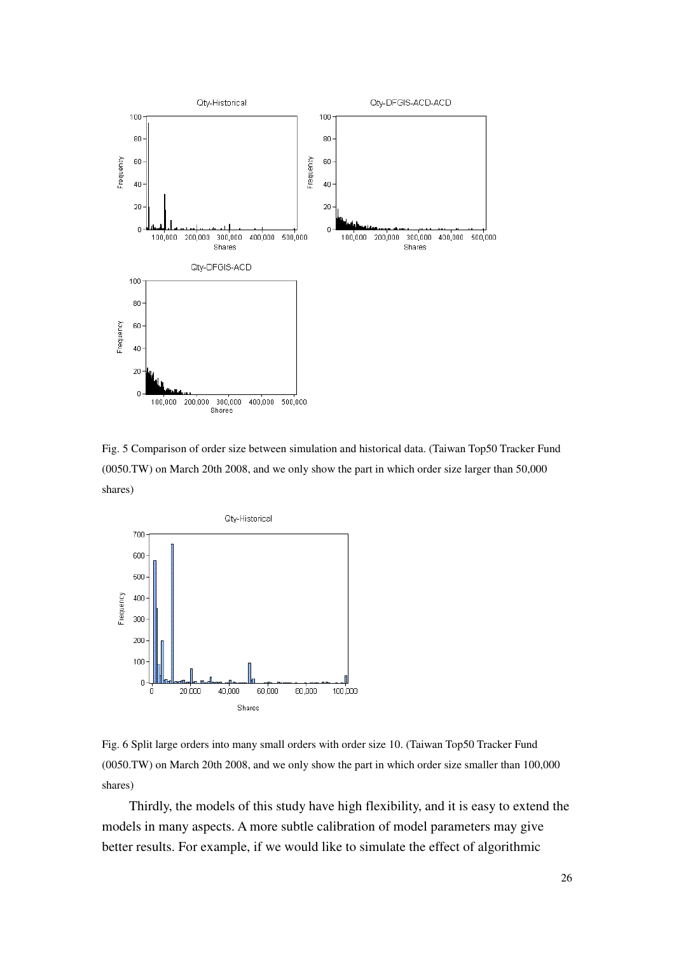

Fig. 5 Comparison of order size between simulation and historical data. (Taiwan Top50 Tracker Fund (0050.TW) on March 20th 2008, and we only show the part in which order size larger than 50,000 shares)



Fig. 6 Split large orders into many small orders with order size 10. (Taiwan Top50 Tracker Fund (0050.TW) on March 20th 2008, and we only show the part in which order size smaller than 100,000 shares)

Thirdly, the models of this study have high flexibility, and it is easy to extend the models in many aspects. A more subtle calibration of model parameters may give better results. For example, if we would like to simulate the effect of algorithmic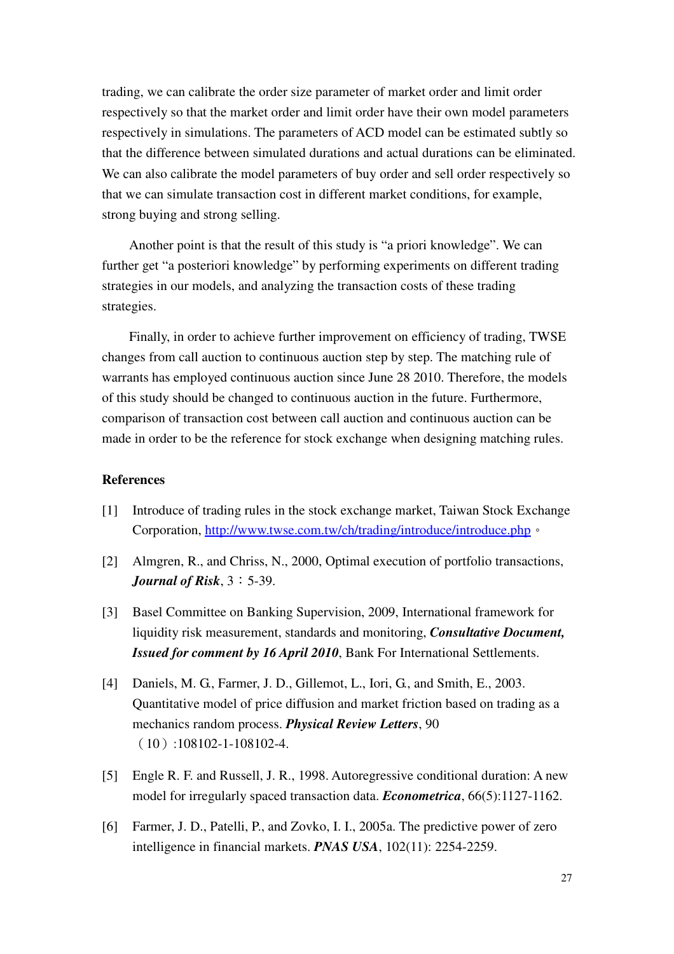trading, we can calibrate the order size parameter of market order and limit order respectively so that the market order and limit order have their own model parameters respectively in simulations. The parameters of ACD model can be estimated subtly so that the difference between simulated durations and actual durations can be eliminated. We can also calibrate the model parameters of buy order and sell order respectively so that we can simulate transaction cost in different market conditions, for example, strong buying and strong selling.

Another point is that the result of this study is "a priori knowledge". We can further get "a posteriori knowledge" by performing experiments on different trading strategies in our models, and analyzing the transaction costs of these trading strategies.

Finally, in order to achieve further improvement on efficiency of trading, TWSE changes from call auction to continuous auction step by step. The matching rule of warrants has employed continuous auction since June 28 2010. Therefore, the models of this study should be changed to continuous auction in the future. Furthermore, comparison of transaction cost between call auction and continuous auction can be made in order to be the reference for stock exchange when designing matching rules.

#### **References**

- [1] Introduce of trading rules in the stock exchange market, Taiwan Stock Exchange Corporation, http://www.twse.com.tw/ch/trading/introduce/introduce.php。
- [2] Almgren, R., and Chriss, N., 2000, Optimal execution of portfolio transactions, *<i>Journal of Risk*,  $3:5-39$ .
- [3] Basel Committee on Banking Supervision, 2009, International framework for liquidity risk measurement, standards and monitoring, *Consultative Document, Issued for comment by 16 April 2010*, Bank For International Settlements.
- [4] Daniels, M. G., Farmer, J. D., Gillemot, L., Iori, G., and Smith, E., 2003. Quantitative model of price diffusion and market friction based on trading as a mechanics random process. *Physical Review Letters*, 90 (10):108102-1-108102-4.
- [5] Engle R. F. and Russell, J. R., 1998. Autoregressive conditional duration: A new model for irregularly spaced transaction data. *Econometrica*, 66(5):1127-1162.
- [6] Farmer, J. D., Patelli, P., and Zovko, I. I., 2005a. The predictive power of zero intelligence in financial markets. *PNAS USA*, 102(11): 2254-2259.